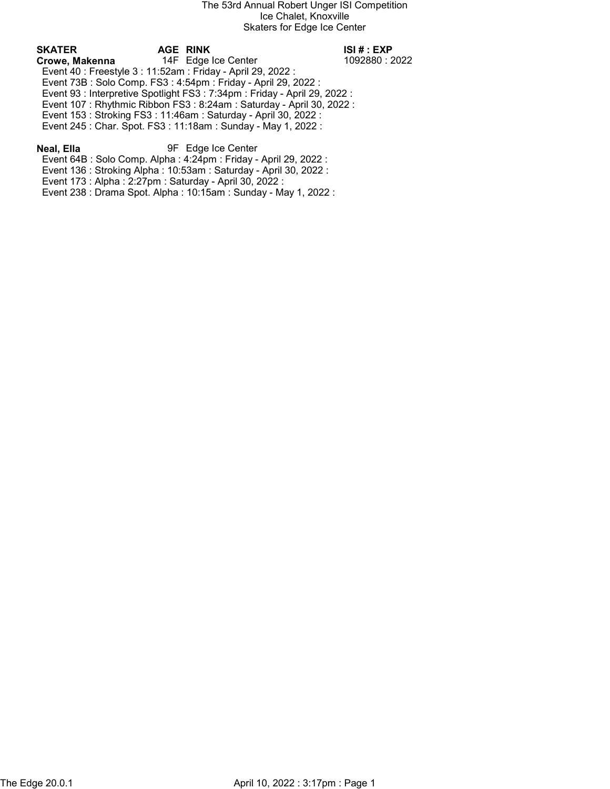# SKATER AGE RINK ISI # : EXP

Crowe, Makenna 14F Edge Ice Center 1092880 : 2022 Event 40 : Freestyle 3 : 11:52am : Friday - April 29, 2022 : Event 73B : Solo Comp. FS3 : 4:54pm : Friday - April 29, 2022 :

Event 93 : Interpretive Spotlight FS3 : 7:34pm : Friday - April 29, 2022 :

Event 107 : Rhythmic Ribbon FS3 : 8:24am : Saturday - April 30, 2022 :

Event 153 : Stroking FS3 : 11:46am : Saturday - April 30, 2022 :

Event 245 : Char. Spot. FS3 : 11:18am : Sunday - May 1, 2022 :

## Neal, Ella 9F Edge Ice Center

Event 64B : Solo Comp. Alpha : 4:24pm : Friday - April 29, 2022 :

Event 136 : Stroking Alpha : 10:53am : Saturday - April 30, 2022 :

Event 173 : Alpha : 2:27pm : Saturday - April 30, 2022 :

Event 238 : Drama Spot. Alpha : 10:15am : Sunday - May 1, 2022 :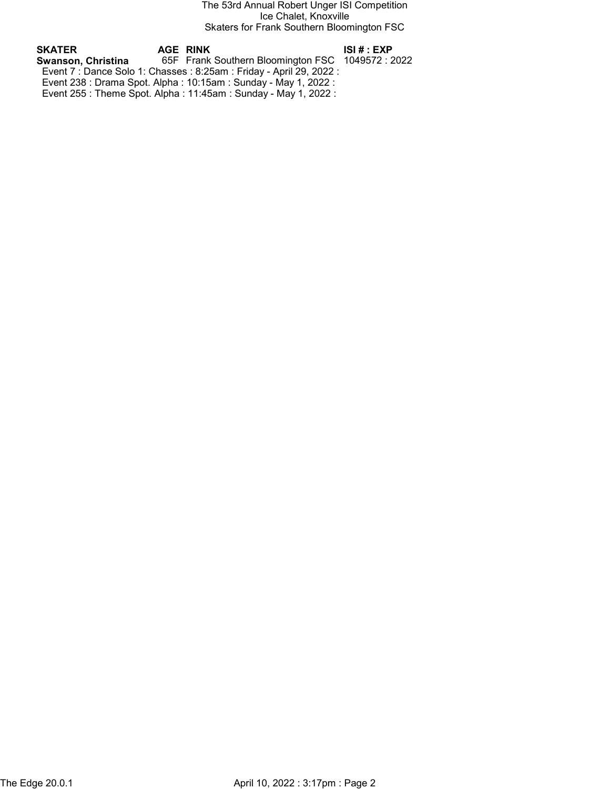The 53rd Annual Robert Unger ISI Competition Ice Chalet, Knoxville Skaters for Frank Southern Bloomington FSC

| SKATER             | AGE RINK                                                             | ISI # : EXP |
|--------------------|----------------------------------------------------------------------|-------------|
| Swanson. Christina | 65F Frank Southern Bloomington FSC 1049572 : 2022                    |             |
|                    | Event 7 : Dance Solo 1: Chasses : 8:25am : Friday - April 29, 2022 : |             |
|                    | Event 238 : Drama Spot. Alpha : 10:15am : Sunday - May 1, 2022 :     |             |
|                    | Event 255 : Theme Spot. Alpha : 11:45am : Sunday - May 1, 2022 :     |             |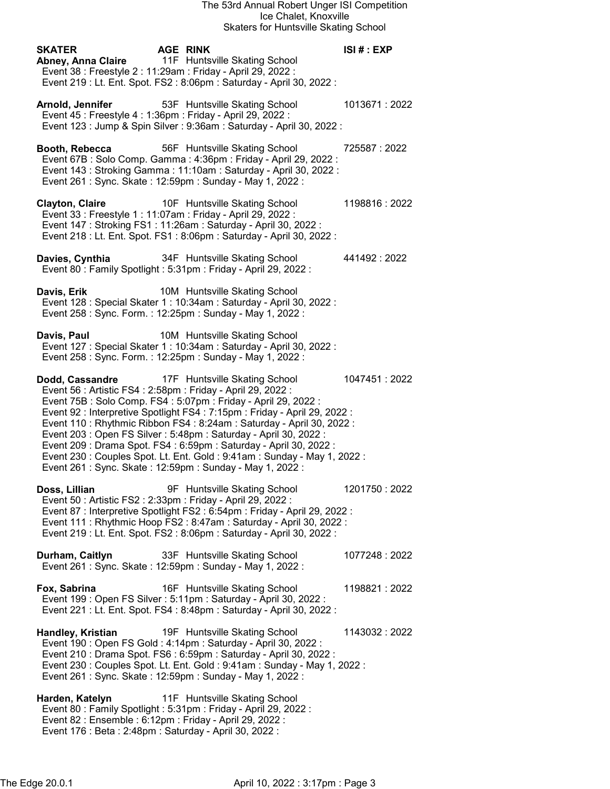| <b>SKATER</b><br><b>AGE RINK</b><br>Abney, Anna Claire<br>11F Huntsville Skating School<br>Event 38 : Freestyle 2 : 11:29am : Friday - April 29, 2022 :<br>Event 219 : Lt. Ent. Spot. FS2 : 8:06pm : Saturday - April 30, 2022 :                                                                                                                                                                                                                                                                                                                                                                                              | ISI# : EXP    |
|-------------------------------------------------------------------------------------------------------------------------------------------------------------------------------------------------------------------------------------------------------------------------------------------------------------------------------------------------------------------------------------------------------------------------------------------------------------------------------------------------------------------------------------------------------------------------------------------------------------------------------|---------------|
| 53F Huntsville Skating School<br>Arnold, Jennifer<br>Event 45 : Freestyle 4 : 1:36pm : Friday - April 29, 2022 :<br>Event 123 : Jump & Spin Silver : 9:36am : Saturday - April 30, 2022 :                                                                                                                                                                                                                                                                                                                                                                                                                                     | 1013671:2022  |
| Booth, Rebecca<br>56F Huntsville Skating School<br>Event 67B: Solo Comp. Gamma: 4:36pm: Friday - April 29, 2022:<br>Event 143 : Stroking Gamma : 11:10am : Saturday - April 30, 2022 :<br>Event 261 : Sync. Skate : 12:59pm : Sunday - May 1, 2022 :                                                                                                                                                                                                                                                                                                                                                                          | 725587:2022   |
| <b>Clayton, Claire</b><br>10F Huntsville Skating School<br>Event 33 : Freestyle 1 : 11:07am : Friday - April 29, 2022 :<br>Event 147: Stroking FS1: 11:26am: Saturday - April 30, 2022:<br>Event 218 : Lt. Ent. Spot. FS1 : 8:06pm : Saturday - April 30, 2022 :                                                                                                                                                                                                                                                                                                                                                              | 1198816:2022  |
| 34F Huntsville Skating School<br>Davies, Cynthia<br>Event 80 : Family Spotlight : 5:31pm : Friday - April 29, 2022 :                                                                                                                                                                                                                                                                                                                                                                                                                                                                                                          | 441492 : 2022 |
| 10M Huntsville Skating School<br>Davis, Erik<br>Event 128 : Special Skater 1 : 10:34am : Saturday - April 30, 2022 :<br>Event 258 : Sync. Form. : 12:25pm : Sunday - May 1, 2022 :                                                                                                                                                                                                                                                                                                                                                                                                                                            |               |
| Davis, Paul<br>10M Huntsville Skating School<br>Event 127 : Special Skater 1 : 10:34am : Saturday - April 30, 2022 :<br>Event 258 : Sync. Form. : 12:25pm : Sunday - May 1, 2022 :                                                                                                                                                                                                                                                                                                                                                                                                                                            |               |
| 17F Huntsville Skating School<br>Dodd, Cassandre<br>Event 56 : Artistic FS4 : 2:58pm : Friday - April 29, 2022 :<br>Event 75B: Solo Comp. FS4: 5:07pm: Friday - April 29, 2022:<br>Event 92 : Interpretive Spotlight FS4 : 7:15pm : Friday - April 29, 2022 :<br>Event 110 : Rhythmic Ribbon FS4 : 8:24am : Saturday - April 30, 2022 :<br>Event 203 : Open FS Silver : 5:48pm : Saturday - April 30, 2022 :<br>Event 209 : Drama Spot. FS4 : 6:59pm : Saturday - April 30, 2022 :<br>Event 230 : Couples Spot. Lt. Ent. Gold : 9:41am : Sunday - May 1, 2022 :<br>Event 261 : Sync. Skate : 12:59pm : Sunday - May 1, 2022 : | 1047451:2022  |
| 9F Huntsville Skating School<br>Doss, Lillian<br>Event 50 : Artistic FS2 : 2:33pm : Friday - April 29, 2022 :<br>Event 87 : Interpretive Spotlight FS2 : 6:54pm : Friday - April 29, 2022 :<br>Event 111 : Rhythmic Hoop FS2 : 8:47am : Saturday - April 30, 2022 :<br>Event 219 : Lt. Ent. Spot. FS2 : 8:06pm : Saturday - April 30, 2022 :                                                                                                                                                                                                                                                                                  | 1201750: 2022 |
| 33F Huntsville Skating School<br>Durham, Caitlyn<br>Event 261 : Sync. Skate : 12:59pm : Sunday - May 1, 2022 :                                                                                                                                                                                                                                                                                                                                                                                                                                                                                                                | 1077248:2022  |
| 16F Huntsville Skating School<br>Fox, Sabrina<br>Event 199 : Open FS Silver : 5:11pm : Saturday - April 30, 2022 :<br>Event 221 : Lt. Ent. Spot. FS4 : 8:48pm : Saturday - April 30, 2022 :                                                                                                                                                                                                                                                                                                                                                                                                                                   | 1198821:2022  |
| 19F Huntsville Skating School<br><b>Handley, Kristian</b><br>Event 190 : Open FS Gold : 4:14pm : Saturday - April 30, 2022 :<br>Event 210 : Drama Spot. FS6 : 6:59pm : Saturday - April 30, 2022 :<br>Event 230 : Couples Spot. Lt. Ent. Gold : 9:41am : Sunday - May 1, 2022 :<br>Event 261 : Sync. Skate : 12:59pm : Sunday - May 1, 2022 :                                                                                                                                                                                                                                                                                 | 1143032:2022  |
| 11F Huntsville Skating School<br>Harden, Katelyn<br>Event 80: Family Spotlight: 5:31pm: Friday - April 29, 2022:<br>Event 82 : Ensemble : 6:12pm : Friday - April 29, 2022 :<br>Event 176 : Beta : 2:48pm : Saturday - April 30, 2022 :                                                                                                                                                                                                                                                                                                                                                                                       |               |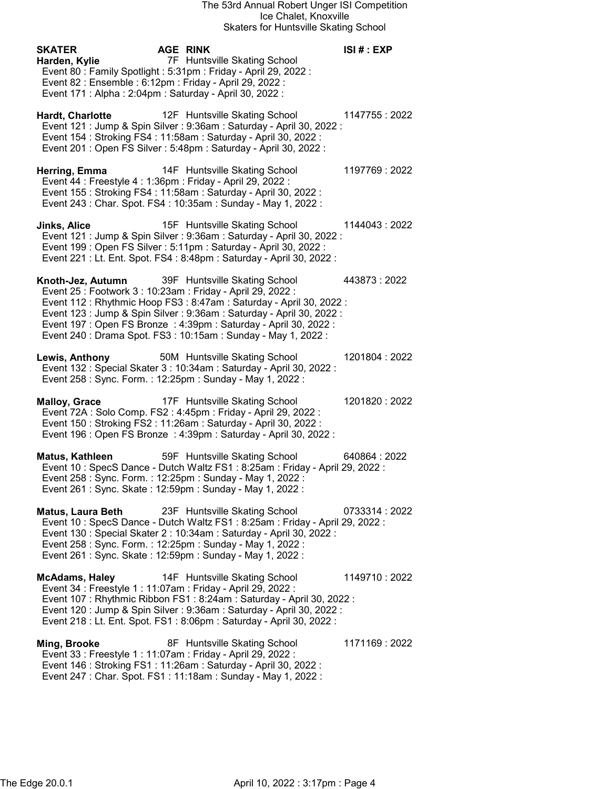| <b>SKATER</b><br>Harden, Kylie<br>Event 82 : Ensemble : 6:12pm : Friday - April 29, 2022 :<br>Event 171 : Alpha : 2:04pm : Saturday - April 30, 2022 : | AGE RINK<br>7F Huntsville Skating School<br>Event 80 : Family Spotlight : 5:31pm : Friday - April 29, 2022 :                                                                                                                                                                                                          | ISI# : EXP     |
|--------------------------------------------------------------------------------------------------------------------------------------------------------|-----------------------------------------------------------------------------------------------------------------------------------------------------------------------------------------------------------------------------------------------------------------------------------------------------------------------|----------------|
| <b>Hardt, Charlotte</b>                                                                                                                                | 12F Huntsville Skating School<br>Event 121 : Jump & Spin Silver : 9:36am : Saturday - April 30, 2022 :<br>Event 154 : Stroking FS4 : 11:58am : Saturday - April 30, 2022 :<br>Event 201 : Open FS Silver : 5:48pm : Saturday - April 30, 2022 :                                                                       | 1147755 : 2022 |
| Herring, Emma<br>Event 44 : Freestyle 4 : 1:36pm : Friday - April 29, 2022 :                                                                           | 14F Huntsville Skating School<br>Event 155: Stroking FS4: 11:58am: Saturday - April 30, 2022:<br>Event 243 : Char. Spot. FS4 : 10:35am : Sunday - May 1, 2022 :                                                                                                                                                       | 1197769: 2022  |
| Jinks, Alice                                                                                                                                           | 15F Huntsville Skating School<br>Event 121 : Jump & Spin Silver : 9:36am : Saturday - April 30, 2022 :<br>Event 199 : Open FS Silver : 5:11pm : Saturday - April 30, 2022 :<br>Event 221 : Lt. Ent. Spot. FS4 : 8:48pm : Saturday - April 30, 2022 :                                                                  | 1144043: 2022  |
| Knoth-Jez, Autumn<br>Event 25 : Footwork 3 : 10:23am : Friday - April 29, 2022 :                                                                       | 39F Huntsville Skating School<br>Event 112 : Rhythmic Hoop FS3 : 8:47am : Saturday - April 30, 2022 :<br>Event 123 : Jump & Spin Silver : 9:36am : Saturday - April 30, 2022 :<br>Event 197 : Open FS Bronze : 4:39pm : Saturday - April 30, 2022 :<br>Event 240 : Drama Spot. FS3 : 10:15am : Sunday - May 1, 2022 : | 443873:2022    |
| Lewis, Anthony<br>Event 258 : Sync. Form. : 12:25pm : Sunday - May 1, 2022 :                                                                           | 50M Huntsville Skating School<br>Event 132 : Special Skater 3 : 10:34am : Saturday - April 30, 2022 :                                                                                                                                                                                                                 | 1201804: 2022  |
| <b>Malloy, Grace</b>                                                                                                                                   | 17F Huntsville Skating School<br>Event 72A : Solo Comp. FS2 : 4:45pm : Friday - April 29, 2022 :<br>Event 150 : Stroking FS2 : 11:26am : Saturday - April 30, 2022 :<br>Event 196 : Open FS Bronze : 4:39pm : Saturday - April 30, 2022 :                                                                             | 1201820: 2022  |
| Matus, Kathleen<br>Event 258 : Sync. Form. : 12:25pm : Sunday - May 1, 2022 :<br>Event 261 : Sync. Skate : 12:59pm : Sunday - May 1, 2022 :            | 59F Huntsville Skating School<br>Event 10 : SpecS Dance - Dutch Waltz FS1 : 8:25am : Friday - April 29, 2022 :                                                                                                                                                                                                        | 640864:2022    |
| <b>Matus, Laura Beth</b><br>Event 258 : Sync. Form. : 12:25pm : Sunday - May 1, 2022 :<br>Event 261 : Sync. Skate : 12:59pm : Sunday - May 1, 2022 :   | 23F Huntsville Skating School<br>Event 10 : SpecS Dance - Dutch Waltz FS1 : 8:25am : Friday - April 29, 2022 :<br>Event 130 : Special Skater 2 : 10:34am : Saturday - April 30, 2022 :                                                                                                                                | 0733314:2022   |
| <b>McAdams, Haley</b><br>Event 34 : Freestyle 1 : 11:07am : Friday - April 29, 2022 :                                                                  | 14F Huntsville Skating School                                                                                                                                                                                                                                                                                         | 1149710: 2022  |

 Event 107 : Rhythmic Ribbon FS1 : 8:24am : Saturday - April 30, 2022 : Event 120 : Jump & Spin Silver : 9:36am : Saturday - April 30, 2022 : Event 218 : Lt. Ent. Spot. FS1 : 8:06pm : Saturday - April 30, 2022 :

Ming, Brooke 8F Huntsville Skating School 1171169 : 2022 Event 33 : Freestyle 1 : 11:07am : Friday - April 29, 2022 : Event 146 : Stroking FS1 : 11:26am : Saturday - April 30, 2022 : Event 247 : Char. Spot. FS1 : 11:18am : Sunday - May 1, 2022 :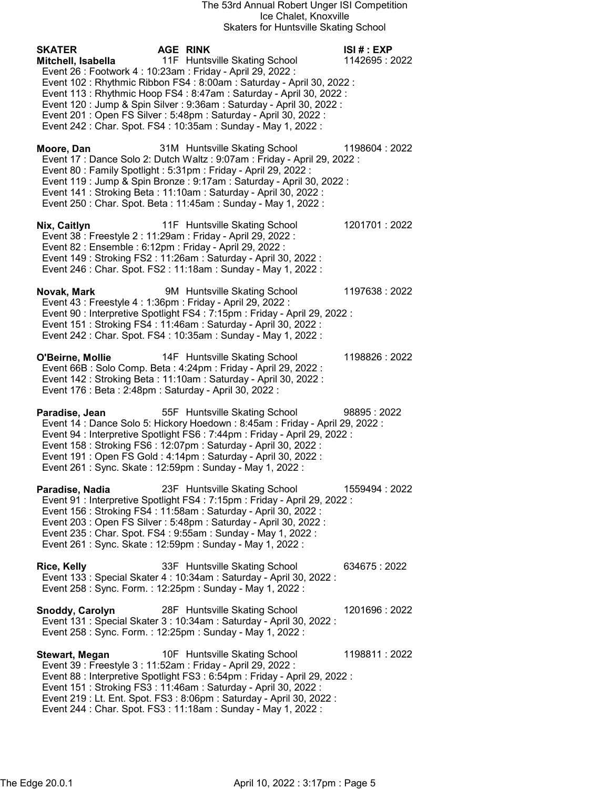### The 53rd Annual Robert Unger ISI Competition Ice Chalet, Knoxville Skaters for Huntsville Skating School

| Skaters for Huntsville Skating School                                                                                                                                                                                                                                                                                                                                                                                                                                                                                    |                             |
|--------------------------------------------------------------------------------------------------------------------------------------------------------------------------------------------------------------------------------------------------------------------------------------------------------------------------------------------------------------------------------------------------------------------------------------------------------------------------------------------------------------------------|-----------------------------|
| <b>AGE RINK</b><br><b>SKATER</b><br>11F Huntsville Skating School<br>Mitchell, Isabella<br>Event 26 : Footwork 4 : 10:23am : Friday - April 29, 2022 :<br>Event 102 : Rhythmic Ribbon FS4 : 8:00am : Saturday - April 30, 2022 :<br>Event 113 : Rhythmic Hoop FS4 : 8:47am : Saturday - April 30, 2022 :<br>Event 120 : Jump & Spin Silver : 9:36am : Saturday - April 30, 2022 :<br>Event 201 : Open FS Silver : 5:48pm : Saturday - April 30, 2022 :<br>Event 242 : Char. Spot. FS4 : 10:35am : Sunday - May 1, 2022 : | ISI # : EXP<br>1142695:2022 |
| 31M Huntsville Skating School<br>Moore, Dan<br>Event 17 : Dance Solo 2: Dutch Waltz : 9:07am : Friday - April 29, 2022 :<br>Event 80 : Family Spotlight : 5:31pm : Friday - April 29, 2022 :<br>Event 119 : Jump & Spin Bronze : 9:17am : Saturday - April 30, 2022 :<br>Event 141 : Stroking Beta : 11:10am : Saturday - April 30, 2022 :<br>Event 250 : Char. Spot. Beta : 11:45am : Sunday - May 1, 2022 :                                                                                                            | 1198604: 2022               |
| 11F Huntsville Skating School<br>Nix, Caitlyn<br>Event 38 : Freestyle 2 : 11:29am : Friday - April 29, 2022 :<br>Event 82 : Ensemble : 6:12pm : Friday - April 29, 2022 :<br>Event 149: Stroking FS2: 11:26am: Saturday - April 30, 2022:<br>Event 246 : Char. Spot. FS2 : 11:18am : Sunday - May 1, 2022 :                                                                                                                                                                                                              | 1201701:2022                |
| Novak, Mark<br>9M Huntsville Skating School<br>Event 43 : Freestyle 4 : 1:36pm : Friday - April 29, 2022 :<br>Event 90 : Interpretive Spotlight FS4 : 7:15pm : Friday - April 29, 2022 :<br>Event 151 : Stroking FS4 : 11:46am : Saturday - April 30, 2022 :<br>Event 242 : Char. Spot. FS4 : 10:35am : Sunday - May 1, 2022 :                                                                                                                                                                                           | 1197638:2022                |
| 14F Huntsville Skating School<br>O'Beirne, Mollie<br>Event 66B : Solo Comp. Beta : 4:24pm : Friday - April 29, 2022 :<br>Event 142: Stroking Beta: 11:10am: Saturday - April 30, 2022:<br>Event 176 : Beta : 2:48pm : Saturday - April 30, 2022 :                                                                                                                                                                                                                                                                        | 1198826:2022                |
| 55F Huntsville Skating School<br>Paradise, Jean<br>Event 14 : Dance Solo 5: Hickory Hoedown : 8:45am : Friday - April 29, 2022 :<br>Event 94 : Interpretive Spotlight FS6 : 7:44pm : Friday - April 29, 2022 :<br>Event 158 : Stroking FS6 : 12:07pm : Saturday - April 30, 2022 :<br>Event 191 : Open FS Gold : 4:14pm : Saturday - April 30, 2022 :<br>Event 261 : Sync. Skate : 12:59pm : Sunday - May 1, 2022 :                                                                                                      | 98895:2022                  |
| 23F Huntsville Skating School<br>Paradise, Nadia<br>Event 91 : Interpretive Spotlight FS4 : 7:15pm : Friday - April 29, 2022 :<br>Event 156 : Stroking FS4 : 11:58am : Saturday - April 30, 2022 :<br>Event 203 : Open FS Silver : 5:48pm : Saturday - April 30, 2022 :<br>Event 235: Char. Spot. FS4: 9:55am: Sunday - May 1, 2022:<br>Event 261 : Sync. Skate : 12:59pm : Sunday - May 1, 2022 :                                                                                                                       | 1559494 : 2022              |
| 33F Huntsville Skating School<br>Rice, Kelly<br>Event 133 : Special Skater 4 : 10:34am : Saturday - April 30, 2022 :<br>Event 258 : Sync. Form. : 12:25pm : Sunday - May 1, 2022 :                                                                                                                                                                                                                                                                                                                                       | 634675:2022                 |
| Snoddy, Carolyn<br>28F Huntsville Skating School<br>Event 131 : Special Skater 3 : 10:34am : Saturday - April 30, 2022 :<br>Event 258 : Sync. Form. : 12:25pm : Sunday - May 1, 2022 :                                                                                                                                                                                                                                                                                                                                   | 1201696 : 2022              |
| 10F Huntsville Skating School<br><b>Stewart, Megan</b>                                                                                                                                                                                                                                                                                                                                                                                                                                                                   | 1198811:2022                |

 Event 39 : Freestyle 3 : 11:52am : Friday - April 29, 2022 : Event 88 : Interpretive Spotlight FS3 : 6:54pm : Friday - April 29, 2022 : Event 151 : Stroking FS3 : 11:46am : Saturday - April 30, 2022 : Event 219 : Lt. Ent. Spot. FS3 : 8:06pm : Saturday - April 30, 2022 : Event 244 : Char. Spot. FS3 : 11:18am : Sunday - May 1, 2022 :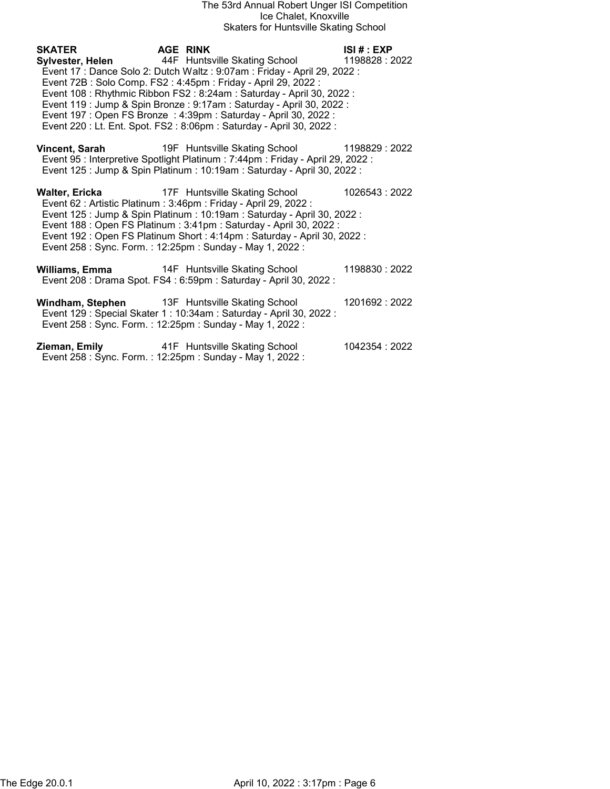### The 53rd Annual Robert Unger ISI Competition Ice Chalet, Knoxville Skaters for Huntsville Skating School

SKATER AGE RINK ISI # : EXP Sylvester, Helen 44F Huntsville Skating School 1198828 : 2022 Event 17 : Dance Solo 2: Dutch Waltz : 9:07am : Friday - April 29, 2022 : Event 72B : Solo Comp. FS2 : 4:45pm : Friday - April 29, 2022 : Event 108 : Rhythmic Ribbon FS2 : 8:24am : Saturday - April 30, 2022 : Event 119 : Jump & Spin Bronze : 9:17am : Saturday - April 30, 2022 : Event 197 : Open FS Bronze : 4:39pm : Saturday - April 30, 2022 : Event 220 : Lt. Ent. Spot. FS2 : 8:06pm : Saturday - April 30, 2022 : Vincent, Sarah 19F Huntsville Skating School 1198829 : 2022 Event 95 : Interpretive Spotlight Platinum : 7:44pm : Friday - April 29, 2022 : Event 125 : Jump & Spin Platinum : 10:19am : Saturday - April 30, 2022 : Walter, Ericka **17F** Huntsville Skating School 1026543 : 2022 Event 62 : Artistic Platinum : 3:46pm : Friday - April 29, 2022 :

 Event 125 : Jump & Spin Platinum : 10:19am : Saturday - April 30, 2022 : Event 188 : Open FS Platinum : 3:41pm : Saturday - April 30, 2022 : Event 192 : Open FS Platinum Short : 4:14pm : Saturday - April 30, 2022 : Event 258 : Sync. Form. : 12:25pm : Sunday - May 1, 2022 :

Williams, Emma 14F Huntsville Skating School 1198830 : 2022 Event 208 : Drama Spot. FS4 : 6:59pm : Saturday - April 30, 2022 :

Windham, Stephen 13F Huntsville Skating School 1201692 : 2022 Event 129 : Special Skater 1 : 10:34am : Saturday - April 30, 2022 : Event 258 : Sync. Form. : 12:25pm : Sunday - May 1, 2022 :

Zieman, Emily 41F Huntsville Skating School 1042354 : 2022 Event 258 : Sync. Form. : 12:25pm : Sunday - May 1, 2022 :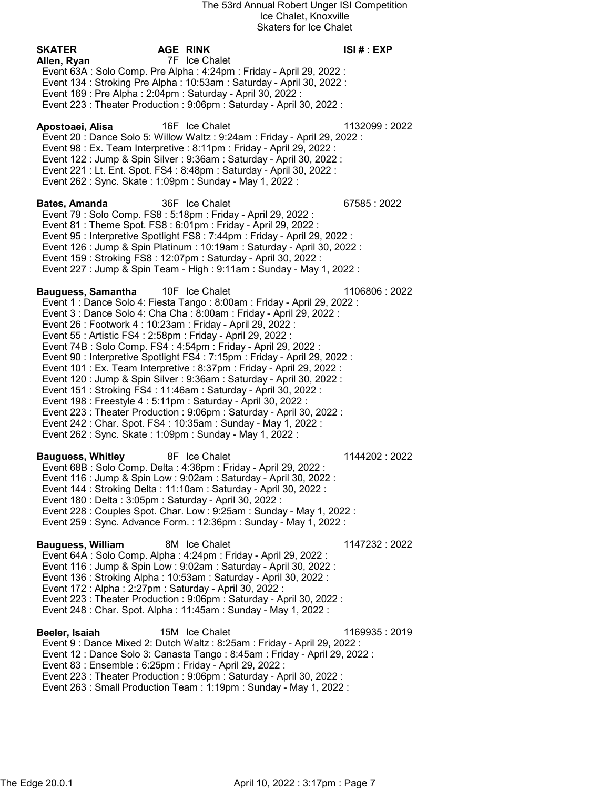SKATER AGE RINK ISI # : EXP Allen, Ryan 7F Ice Chalet Event 63A : Solo Comp. Pre Alpha : 4:24pm : Friday - April 29, 2022 : Event 134 : Stroking Pre Alpha : 10:53am : Saturday - April 30, 2022 : Event 169 : Pre Alpha : 2:04pm : Saturday - April 30, 2022 : Event 223 : Theater Production : 9:06pm : Saturday - April 30, 2022 : Apostoaei, Alisa 16F Ice Chalet 1132099 : 2022 Event 20 : Dance Solo 5: Willow Waltz : 9:24am : Friday - April 29, 2022 : Event 98 : Ex. Team Interpretive : 8:11pm : Friday - April 29, 2022 : Event 122 : Jump & Spin Silver : 9:36am : Saturday - April 30, 2022 : Event 221 : Lt. Ent. Spot. FS4 : 8:48pm : Saturday - April 30, 2022 : Event 262 : Sync. Skate : 1:09pm : Sunday - May 1, 2022 : Bates, Amanda 36F Ice Chalet 67585 : 2022 Event 79 : Solo Comp. FS8 : 5:18pm : Friday - April 29, 2022 : Event 81 : Theme Spot. FS8 : 6:01pm : Friday - April 29, 2022 : Event 95 : Interpretive Spotlight FS8 : 7:44pm : Friday - April 29, 2022 : Event 126 : Jump & Spin Platinum : 10:19am : Saturday - April 30, 2022 : Event 159 : Stroking FS8 : 12:07pm : Saturday - April 30, 2022 : Event 227 : Jump & Spin Team - High : 9:11am : Sunday - May 1, 2022 : Bauguess, Samantha 10F Ice Chalet 1106806 : 2022 Event 1 : Dance Solo 4: Fiesta Tango : 8:00am : Friday - April 29, 2022 : Event 3 : Dance Solo 4: Cha Cha : 8:00am : Friday - April 29, 2022 : Event 26 : Footwork 4 : 10:23am : Friday - April 29, 2022 : Event 55 : Artistic FS4 : 2:58pm : Friday - April 29, 2022 : Event 74B : Solo Comp. FS4 : 4:54pm : Friday - April 29, 2022 : Event 90 : Interpretive Spotlight FS4 : 7:15pm : Friday - April 29, 2022 : Event 101 : Ex. Team Interpretive : 8:37pm : Friday - April 29, 2022 : Event 120 : Jump & Spin Silver : 9:36am : Saturday - April 30, 2022 : Event 151 : Stroking FS4 : 11:46am : Saturday - April 30, 2022 : Event 198 : Freestyle 4 : 5:11pm : Saturday - April 30, 2022 : Event 223 : Theater Production : 9:06pm : Saturday - April 30, 2022 : Event 242 : Char. Spot. FS4 : 10:35am : Sunday - May 1, 2022 : Event 262 : Sync. Skate : 1:09pm : Sunday - May 1, 2022 : Bauguess, Whitley **8F** Ice Chalet **1144202** : 2022 Event 68B : Solo Comp. Delta : 4:36pm : Friday - April 29, 2022 : Event 116 : Jump & Spin Low : 9:02am : Saturday - April 30, 2022 : Event 144 : Stroking Delta : 11:10am : Saturday - April 30, 2022 : Event 180 : Delta : 3:05pm : Saturday - April 30, 2022 : Event 228 : Couples Spot. Char. Low : 9:25am : Sunday - May 1, 2022 : Event 259 : Sync. Advance Form. : 12:36pm : Sunday - May 1, 2022 : Bauguess, William 8M Ice Chalet 1147232 : 2022 Event 64A : Solo Comp. Alpha : 4:24pm : Friday - April 29, 2022 : Event 116 : Jump & Spin Low : 9:02am : Saturday - April 30, 2022 : Event 136 : Stroking Alpha : 10:53am : Saturday - April 30, 2022 : Event 172 : Alpha : 2:27pm : Saturday - April 30, 2022 : Event 223 : Theater Production : 9:06pm : Saturday - April 30, 2022 : Event 248 : Char. Spot. Alpha : 11:45am : Sunday - May 1, 2022 : Beeler, Isaiah 15M Ice Chalet 1169935 : 2019 Event 9 : Dance Mixed 2: Dutch Waltz : 8:25am : Friday - April 29, 2022 : Event 12 : Dance Solo 3: Canasta Tango : 8:45am : Friday - April 29, 2022 : Event 83 : Ensemble : 6:25pm : Friday - April 29, 2022 : Event 223 : Theater Production : 9:06pm : Saturday - April 30, 2022 : Event 263 : Small Production Team : 1:19pm : Sunday - May 1, 2022 :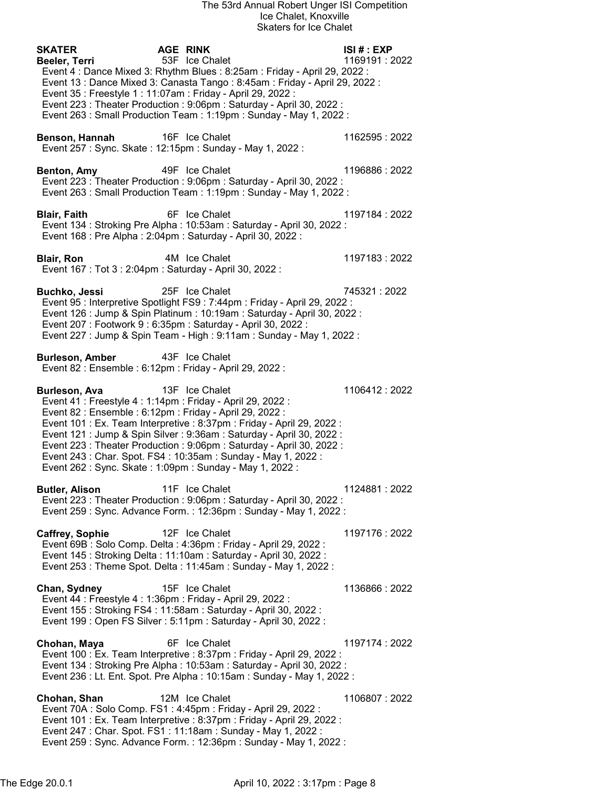| <b>SKATER</b><br>Beeler, Terri<br>Event 35 : Freestyle 1 : 11:07am : Friday - April 29, 2022 :                                                                                                        | <b>AGE RINK</b><br>53F Ice Chalet<br>Event 4: Dance Mixed 3: Rhythm Blues: 8:25am: Friday - April 29, 2022:<br>Event 13 : Dance Mixed 3: Canasta Tango : 8:45am : Friday - April 29, 2022 :<br>Event 223 : Theater Production : 9:06pm : Saturday - April 30, 2022 :<br>Event 263 : Small Production Team : 1:19pm : Sunday - May 1, 2022 : | ISI#: EXP<br>1169191:2022 |
|-------------------------------------------------------------------------------------------------------------------------------------------------------------------------------------------------------|---------------------------------------------------------------------------------------------------------------------------------------------------------------------------------------------------------------------------------------------------------------------------------------------------------------------------------------------|---------------------------|
| Benson, Hannah                                                                                                                                                                                        | 16F Ice Chalet<br>Event 257 : Sync. Skate : 12:15pm : Sunday - May 1, 2022 :                                                                                                                                                                                                                                                                | 1162595: 2022             |
| Benton, Amy                                                                                                                                                                                           | 49F Ice Chalet<br>Event 223 : Theater Production : 9:06pm : Saturday - April 30, 2022 :<br>Event 263 : Small Production Team : 1:19pm : Sunday - May 1, 2022 :                                                                                                                                                                              | 1196886: 2022             |
| <b>Blair, Faith</b>                                                                                                                                                                                   | 6F Ice Chalet<br>Event 134: Stroking Pre Alpha: 10:53am: Saturday - April 30, 2022:<br>Event 168 : Pre Alpha : 2:04pm : Saturday - April 30, 2022 :                                                                                                                                                                                         | 1197184: 2022             |
| <b>Blair, Ron</b><br>Event 167 : Tot 3 : 2:04pm : Saturday - April 30, 2022 :                                                                                                                         | 4M Ice Chalet                                                                                                                                                                                                                                                                                                                               | 1197183:2022              |
| <b>Buchko, Jessi</b>                                                                                                                                                                                  | 25F Ice Chalet<br>Event 95 : Interpretive Spotlight FS9 : 7:44pm : Friday - April 29, 2022 :<br>Event 126 : Jump & Spin Platinum : 10:19am : Saturday - April 30, 2022 :<br>Event 207: Footwork 9: 6:35pm: Saturday - April 30, 2022:<br>Event 227 : Jump & Spin Team - High : 9:11am : Sunday - May 1, 2022 :                              | 745321:2022               |
| <b>Burleson, Amber</b><br>Event 82 : Ensemble : 6:12pm : Friday - April 29, 2022 :                                                                                                                    | 43F Ice Chalet                                                                                                                                                                                                                                                                                                                              |                           |
| Burleson, Ava<br>Event 41 : Freestyle 4 : 1:14pm : Friday - April 29, 2022 :<br>Event 82 : Ensemble : 6:12pm : Friday - April 29, 2022 :<br>Event 262 : Sync. Skate : 1:09pm : Sunday - May 1, 2022 : | 13F Ice Chalet<br>Event 101 : Ex. Team Interpretive : 8:37pm : Friday - April 29, 2022 :<br>Event 121 : Jump & Spin Silver : 9:36am : Saturday - April 30, 2022 :<br>Event 223 : Theater Production : 9:06pm : Saturday - April 30, 2022 :<br>Event 243 : Char. Spot. FS4 : 10:35am : Sunday - May 1, 2022 :                                | 1106412:2022              |
| <b>Butler, Alison</b>                                                                                                                                                                                 | 11F Ice Chalet<br>Event 223 : Theater Production : 9:06pm : Saturday - April 30, 2022 :<br>Event 259 : Sync. Advance Form. : 12:36pm : Sunday - May 1, 2022 :                                                                                                                                                                               | 1124881:2022              |
| <b>Caffrey, Sophie</b>                                                                                                                                                                                | 12F Ice Chalet<br>Event 69B : Solo Comp. Delta : 4:36pm : Friday - April 29, 2022 :<br>Event 145 : Stroking Delta : 11:10am : Saturday - April 30, 2022 :<br>Event 253 : Theme Spot. Delta : 11:45am : Sunday - May 1, 2022 :                                                                                                               | 1197176: 2022             |
| Chan, Sydney<br>Event 44 : Freestyle 4 : 1:36pm : Friday - April 29, 2022 :                                                                                                                           | 15F Ice Chalet<br>Event 155: Stroking FS4: 11:58am: Saturday - April 30, 2022:<br>Event 199 : Open FS Silver : 5:11pm : Saturday - April 30, 2022 :                                                                                                                                                                                         | 1136866: 2022             |
| Chohan, Maya                                                                                                                                                                                          | 6F Ice Chalet<br>Event 100 : Ex. Team Interpretive : 8:37pm : Friday - April 29, 2022 :<br>Event 134: Stroking Pre Alpha: 10:53am: Saturday - April 30, 2022:<br>Event 236 : Lt. Ent. Spot. Pre Alpha : 10:15am : Sunday - May 1, 2022 :                                                                                                    | 1197174 : 2022            |
| Chohan, Shan                                                                                                                                                                                          | 12M Ice Chalet<br>Event 70A : Solo Comp. FS1 : 4:45pm : Friday - April 29, 2022 :<br>Event 101 : Ex. Team Interpretive : 8:37pm : Friday - April 29, 2022 :<br>Event 247 : Char. Spot. FS1 : 11:18am : Sunday - May 1, 2022 :<br>Event 259 : Sync. Advance Form. : 12:36pm : Sunday - May 1, 2022 :                                         | 1106807: 2022             |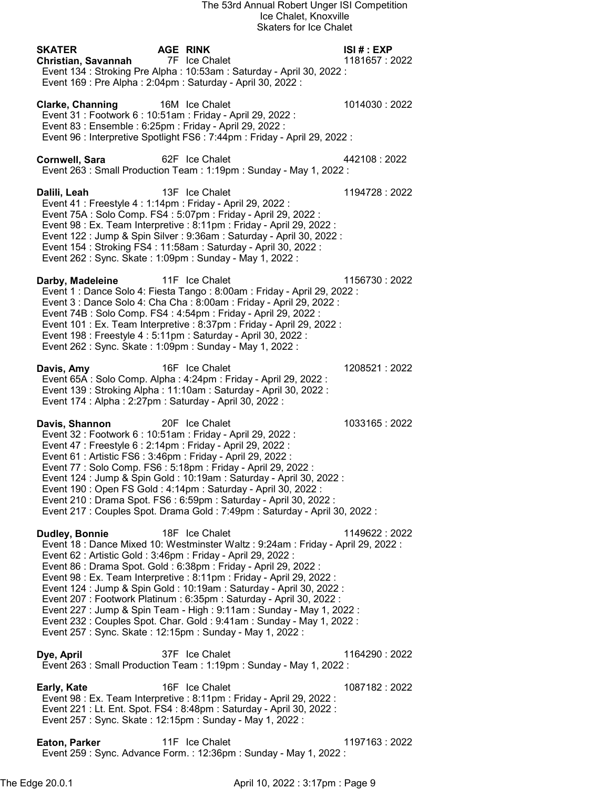| <b>SKATER</b><br><b>Christian, Savannah</b><br>Event 169 : Pre Alpha : 2:04pm : Saturday - April 30, 2022 :                                                                                                                                                                    | <b>AGE RINK</b> | 7F Ice Chalet<br>Event 134: Stroking Pre Alpha: 10:53am: Saturday - April 30, 2022:                                                                                                                                                                                                                                                                                                                                                                                                                                                                 | ISI# : EXP<br>1181657: 2022 |
|--------------------------------------------------------------------------------------------------------------------------------------------------------------------------------------------------------------------------------------------------------------------------------|-----------------|-----------------------------------------------------------------------------------------------------------------------------------------------------------------------------------------------------------------------------------------------------------------------------------------------------------------------------------------------------------------------------------------------------------------------------------------------------------------------------------------------------------------------------------------------------|-----------------------------|
| <b>Clarke, Channing</b><br>Event 31 : Footwork 6 : 10:51am : Friday - April 29, 2022 :<br>Event 83 : Ensemble : 6:25pm : Friday - April 29, 2022 :                                                                                                                             |                 | 16M Ice Chalet<br>Event 96 : Interpretive Spotlight FS6 : 7:44pm : Friday - April 29, 2022 :                                                                                                                                                                                                                                                                                                                                                                                                                                                        | 1014030:2022                |
| <b>Cornwell, Sara</b>                                                                                                                                                                                                                                                          | 62F Ice Chalet  | Event 263 : Small Production Team : 1:19pm : Sunday - May 1, 2022 :                                                                                                                                                                                                                                                                                                                                                                                                                                                                                 | 442108:2022                 |
| Dalili, Leah<br>Event 41 : Freestyle 4 : 1:14pm : Friday - April 29, 2022 :<br>Event 262 : Sync. Skate : 1:09pm : Sunday - May 1, 2022 :                                                                                                                                       |                 | 13F Ice Chalet<br>Event 75A : Solo Comp. FS4 : 5:07pm : Friday - April 29, 2022 :<br>Event 98 : Ex. Team Interpretive : 8:11pm : Friday - April 29, 2022 :<br>Event 122 : Jump & Spin Silver : 9:36am : Saturday - April 30, 2022 :<br>Event 154 : Stroking FS4 : 11:58am : Saturday - April 30, 2022 :                                                                                                                                                                                                                                             | 1194728:2022                |
| Darby, Madeleine<br>Event 198 : Freestyle 4 : 5:11pm : Saturday - April 30, 2022 :<br>Event 262 : Sync. Skate : 1:09pm : Sunday - May 1, 2022 :                                                                                                                                |                 | 11F Ice Chalet<br>Event 1 : Dance Solo 4: Fiesta Tango : 8:00am : Friday - April 29, 2022 :<br>Event 3 : Dance Solo 4: Cha Cha : 8:00am : Friday - April 29, 2022 :<br>Event 74B : Solo Comp. FS4 : 4:54pm : Friday - April 29, 2022 :<br>Event 101 : Ex. Team Interpretive : 8:37pm : Friday - April 29, 2022 :                                                                                                                                                                                                                                    | 1156730:2022                |
| Davis, Amy<br>Event 174 : Alpha : 2:27pm : Saturday - April 30, 2022 :                                                                                                                                                                                                         |                 | 16F Ice Chalet<br>Event 65A : Solo Comp. Alpha : 4:24pm : Friday - April 29, 2022 :<br>Event 139: Stroking Alpha: 11:10am: Saturday - April 30, 2022:                                                                                                                                                                                                                                                                                                                                                                                               | 1208521:2022                |
| Davis, Shannon<br>Event 32 : Footwork 6 : 10:51am : Friday - April 29, 2022 :<br>Event 47 : Freestyle 6 : 2:14pm : Friday - April 29, 2022 :<br>Event 61 : Artistic FS6 : 3:46pm : Friday - April 29, 2022 :<br>Event 77 : Solo Comp. FS6 : 5:18pm : Friday - April 29, 2022 : |                 | 20F Ice Chalet<br>Event 124 : Jump & Spin Gold : 10:19am : Saturday - April 30, 2022 :<br>Event 190 : Open FS Gold : 4:14pm : Saturday - April 30, 2022 :<br>Event 210 : Drama Spot. FS6 : 6:59pm : Saturday - April 30, 2022 :<br>Event 217 : Couples Spot. Drama Gold : 7:49pm : Saturday - April 30, 2022 :                                                                                                                                                                                                                                      | 1033165:2022                |
| Dudley, Bonnie<br>Event 62 : Artistic Gold : 3:46pm : Friday - April 29, 2022 :<br>Event 257: Sync. Skate: 12:15pm: Sunday - May 1, 2022:                                                                                                                                      |                 | 18F Ice Chalet<br>Event 18 : Dance Mixed 10: Westminster Waltz : 9:24am : Friday - April 29, 2022 :<br>Event 86 : Drama Spot. Gold : 6:38pm : Friday - April 29, 2022 :<br>Event 98 : Ex. Team Interpretive : 8:11pm : Friday - April 29, 2022 :<br>Event 124 : Jump & Spin Gold : 10:19am : Saturday - April 30, 2022 :<br>Event 207 : Footwork Platinum : 6:35pm : Saturday - April 30, 2022 :<br>Event 227 : Jump & Spin Team - High : 9:11am : Sunday - May 1, 2022 :<br>Event 232 : Couples Spot. Char. Gold : 9:41am : Sunday - May 1, 2022 : | 1149622: 2022               |
| Dye, April                                                                                                                                                                                                                                                                     |                 | 37F Ice Chalet<br>Event 263 : Small Production Team : 1:19pm : Sunday - May 1, 2022 :                                                                                                                                                                                                                                                                                                                                                                                                                                                               | 1164290 : 2022              |
| Early, Kate<br>Event 257: Sync. Skate: 12:15pm: Sunday - May 1, 2022:                                                                                                                                                                                                          |                 | 16F Ice Chalet<br>Event 98 : Ex. Team Interpretive : 8:11pm : Friday - April 29, 2022 :<br>Event 221 : Lt. Ent. Spot. FS4 : 8:48pm : Saturday - April 30, 2022 :                                                                                                                                                                                                                                                                                                                                                                                    | 1087182: 2022               |
| <b>Eaton, Parker</b>                                                                                                                                                                                                                                                           |                 | 11F Ice Chalet<br>Event 259 : Sync. Advance Form. : 12:36pm : Sunday - May 1, 2022 :                                                                                                                                                                                                                                                                                                                                                                                                                                                                | 1197163: 2022               |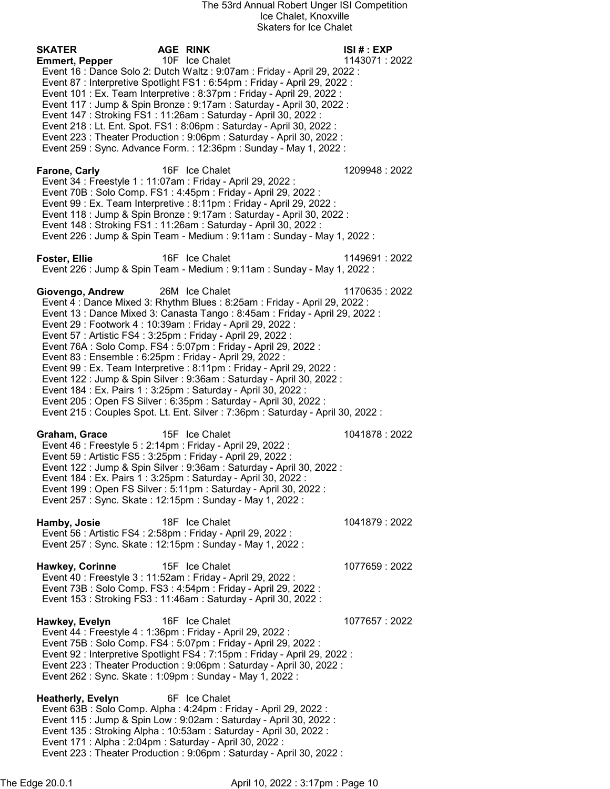| SKATER                | <b>AGE RINK</b>                                                                                                                                      | ISI#: EXP      |
|-----------------------|------------------------------------------------------------------------------------------------------------------------------------------------------|----------------|
| <b>Emmert, Pepper</b> | 10F Ice Chalet                                                                                                                                       | 1143071:2022   |
|                       | Event 16 : Dance Solo 2: Dutch Waltz : 9:07am : Friday - April 29, 2022 :                                                                            |                |
|                       | Event 87 : Interpretive Spotlight FS1 : 6:54pm : Friday - April 29, 2022 :<br>Event 101 : Ex. Team Interpretive : 8:37pm : Friday - April 29, 2022 : |                |
|                       | Event 117 : Jump & Spin Bronze : 9:17am : Saturday - April 30, 2022 :                                                                                |                |
|                       | Event 147: Stroking FS1: 11:26am: Saturday - April 30, 2022:                                                                                         |                |
|                       | Event 218 : Lt. Ent. Spot. FS1 : 8:06pm : Saturday - April 30, 2022 :                                                                                |                |
|                       | Event 223 : Theater Production : 9:06pm : Saturday - April 30, 2022 :                                                                                |                |
|                       | Event 259 : Sync. Advance Form. : 12:36pm : Sunday - May 1, 2022 :                                                                                   |                |
|                       |                                                                                                                                                      |                |
| Farone, Carly         | 16F Ice Chalet<br>Event 34 : Freestyle 1 : 11:07am : Friday - April 29, 2022 :                                                                       | 1209948: 2022  |
|                       | Event 70B: Solo Comp. FS1: 4:45pm: Friday - April 29, 2022:                                                                                          |                |
|                       | Event 99 : Ex. Team Interpretive : 8:11pm : Friday - April 29, 2022 :                                                                                |                |
|                       | Event 118 : Jump & Spin Bronze : 9:17am : Saturday - April 30, 2022 :                                                                                |                |
|                       | Event 148 : Stroking FS1 : 11:26am : Saturday - April 30, 2022 :                                                                                     |                |
|                       | Event 226 : Jump & Spin Team - Medium : 9:11am : Sunday - May 1, 2022 :                                                                              |                |
| Foster, Ellie         | 16F Ice Chalet                                                                                                                                       | 1149691:2022   |
|                       | Event 226 : Jump & Spin Team - Medium : 9:11am : Sunday - May 1, 2022 :                                                                              |                |
|                       |                                                                                                                                                      |                |
| Giovengo, Andrew      | 26M Ice Chalet                                                                                                                                       | 1170635:2022   |
|                       | Event 4 : Dance Mixed 3: Rhythm Blues : 8:25am : Friday - April 29, 2022 :                                                                           |                |
|                       | Event 13 : Dance Mixed 3: Canasta Tango : 8:45am : Friday - April 29, 2022 :                                                                         |                |
|                       | Event 29 : Footwork 4 : 10:39am : Friday - April 29, 2022 :                                                                                          |                |
|                       | Event 57 : Artistic FS4 : 3:25pm : Friday - April 29, 2022 :<br>Event 76A : Solo Comp. FS4 : 5:07pm : Friday - April 29, 2022 :                      |                |
|                       | Event 83 : Ensemble : 6:25pm : Friday - April 29, 2022 :                                                                                             |                |
|                       | Event 99 : Ex. Team Interpretive : 8:11pm : Friday - April 29, 2022 :                                                                                |                |
|                       | Event 122 : Jump & Spin Silver : 9:36am : Saturday - April 30, 2022 :                                                                                |                |
|                       | Event 184 : Ex. Pairs 1 : 3:25pm : Saturday - April 30, 2022 :                                                                                       |                |
|                       | Event 205 : Open FS Silver : 6:35pm : Saturday - April 30, 2022 :                                                                                    |                |
|                       | Event 215 : Couples Spot. Lt. Ent. Silver : 7:36pm : Saturday - April 30, 2022 :                                                                     |                |
| Graham, Grace         | 15F Ice Chalet                                                                                                                                       | 1041878 : 2022 |
|                       | Event 46 : Freestyle 5 : 2:14pm : Friday - April 29, 2022 :                                                                                          |                |
|                       | Event 59 : Artistic FS5 : 3:25pm : Friday - April 29, 2022 :                                                                                         |                |
|                       | Event 122 : Jump & Spin Silver : 9:36am : Saturday - April 30, 2022 :                                                                                |                |
|                       | Event 184 : Ex. Pairs 1 : 3:25pm : Saturday - April 30, 2022 :                                                                                       |                |
|                       | Event 199 : Open FS Silver : 5:11pm : Saturday - April 30, 2022 :                                                                                    |                |
|                       | Event 257: Sync. Skate: 12:15pm: Sunday - May 1, 2022:                                                                                               |                |
| Hamby, Josie          | 18F Ice Chalet                                                                                                                                       | 1041879: 2022  |
|                       | Event 56 : Artistic FS4 : 2:58pm : Friday - April 29, 2022 :                                                                                         |                |
|                       | Event 257 : Sync. Skate : 12:15pm : Sunday - May 1, 2022 :                                                                                           |                |
| Hawkey, Corinne       | 15F Ice Chalet                                                                                                                                       | 1077659:2022   |
|                       | Event 40 : Freestyle 3 : 11:52am : Friday - April 29, 2022 :                                                                                         |                |
|                       | Event 73B: Solo Comp. FS3: 4:54pm: Friday - April 29, 2022:                                                                                          |                |
|                       | Event 153 : Stroking FS3 : 11:46am : Saturday - April 30, 2022 :                                                                                     |                |
|                       |                                                                                                                                                      |                |
| Hawkey, Evelyn        | 16F Ice Chalet<br>Event 44 : Freestyle 4 : 1:36pm : Friday - April 29, 2022 :                                                                        | 1077657: 2022  |
|                       | Event 75B: Solo Comp. FS4: 5:07pm: Friday - April 29, 2022:                                                                                          |                |
|                       | Event 92 : Interpretive Spotlight FS4 : 7:15pm : Friday - April 29, 2022 :                                                                           |                |
|                       | Event 223 : Theater Production : 9:06pm : Saturday - April 30, 2022 :                                                                                |                |
|                       | Event 262 : Sync. Skate : 1:09pm : Sunday - May 1, 2022 :                                                                                            |                |
|                       |                                                                                                                                                      |                |
| Heatherly, Evelyn     | 6F Ice Chalet<br>Event 63B: Solo Comp. Alpha: 4:24pm: Friday - April 29, 2022:                                                                       |                |
|                       | Event 115 : Jump & Spin Low : 9:02am : Saturday - April 30, 2022 :                                                                                   |                |
|                       | Event 135: Stroking Alpha: 10:53am: Saturday - April 30, 2022:                                                                                       |                |
|                       | Event 171 : Alpha : 2:04pm : Saturday - April 30, 2022 :                                                                                             |                |
|                       | Event 223 : Theater Production : 9:06pm : Saturday - April 30, 2022 :                                                                                |                |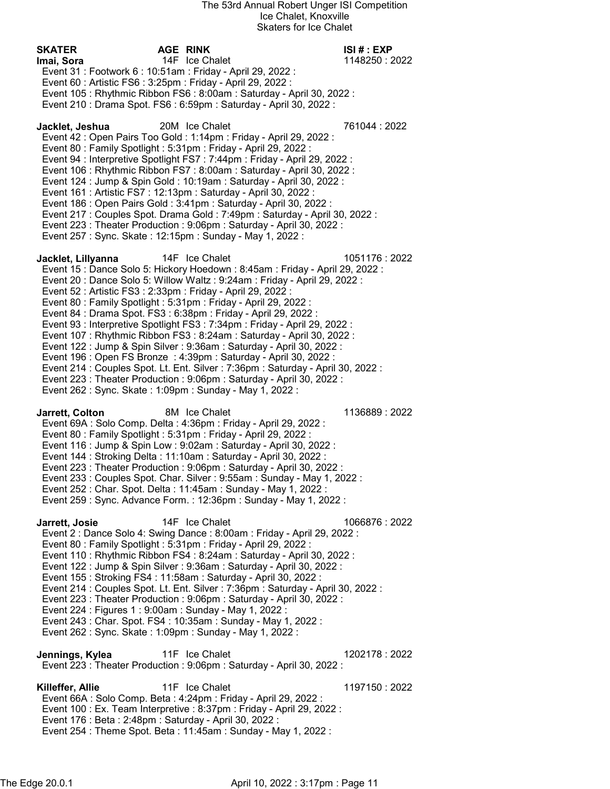SKATER AGE RINK ISI # : EXP **Imai, Sora** 1148250 : 2022 1148250 : 1148250 : 1148250 : 1148250 : 2022 Event 31 : Footwork 6 : 10:51am : Friday - April 29, 2022 : Event 60 : Artistic FS6 : 3:25pm : Friday - April 29, 2022 : Event 105 : Rhythmic Ribbon FS6 : 8:00am : Saturday - April 30, 2022 : Event 210 : Drama Spot. FS6 : 6:59pm : Saturday - April 30, 2022 : Jacklet, Jeshua 20M Ice Chalet 761044 : 2022 Event 42 : Open Pairs Too Gold : 1:14pm : Friday - April 29, 2022 : Event 80 : Family Spotlight : 5:31pm : Friday - April 29, 2022 : Event 94 : Interpretive Spotlight FS7 : 7:44pm : Friday - April 29, 2022 : Event 106 : Rhythmic Ribbon FS7 : 8:00am : Saturday - April 30, 2022 : Event 124 : Jump & Spin Gold : 10:19am : Saturday - April 30, 2022 : Event 161 : Artistic FS7 : 12:13pm : Saturday - April 30, 2022 : Event 186 : Open Pairs Gold : 3:41pm : Saturday - April 30, 2022 : Event 217 : Couples Spot. Drama Gold : 7:49pm : Saturday - April 30, 2022 : Event 223 : Theater Production : 9:06pm : Saturday - April 30, 2022 : Event 257 : Sync. Skate : 12:15pm : Sunday - May 1, 2022 : **Jacklet, Lillyanna** 14F Ice Chalet 1051176 : 2022 Event 15 : Dance Solo 5: Hickory Hoedown : 8:45am : Friday - April 29, 2022 : Event 20 : Dance Solo 5: Willow Waltz : 9:24am : Friday - April 29, 2022 : Event 52 : Artistic FS3 : 2:33pm : Friday - April 29, 2022 : Event 80 : Family Spotlight : 5:31pm : Friday - April 29, 2022 : Event 84 : Drama Spot. FS3 : 6:38pm : Friday - April 29, 2022 : Event 93 : Interpretive Spotlight FS3 : 7:34pm : Friday - April 29, 2022 : Event 107 : Rhythmic Ribbon FS3 : 8:24am : Saturday - April 30, 2022 : Event 122 : Jump & Spin Silver : 9:36am : Saturday - April 30, 2022 : Event 196 : Open FS Bronze : 4:39pm : Saturday - April 30, 2022 : Event 214 : Couples Spot. Lt. Ent. Silver : 7:36pm : Saturday - April 30, 2022 : Event 223 : Theater Production : 9:06pm : Saturday - April 30, 2022 : Event 262 : Sync. Skate : 1:09pm : Sunday - May 1, 2022 : **Jarrett, Colton 6M Ice Chalet 1136889 : 2022**  Event 69A : Solo Comp. Delta : 4:36pm : Friday - April 29, 2022 : Event 80 : Family Spotlight : 5:31pm : Friday - April 29, 2022 : Event 116 : Jump & Spin Low : 9:02am : Saturday - April 30, 2022 : Event 144 : Stroking Delta : 11:10am : Saturday - April 30, 2022 : Event 223 : Theater Production : 9:06pm : Saturday - April 30, 2022 : Event 233 : Couples Spot. Char. Silver : 9:55am : Sunday - May 1, 2022 : Event 252 : Char. Spot. Delta : 11:45am : Sunday - May 1, 2022 : Event 259 : Sync. Advance Form. : 12:36pm : Sunday - May 1, 2022 : Jarrett, Josie 14F Ice Chalet 1066876 : 2022 Event 2 : Dance Solo 4: Swing Dance : 8:00am : Friday - April 29, 2022 : Event 80 : Family Spotlight : 5:31pm : Friday - April 29, 2022 : Event 110 : Rhythmic Ribbon FS4 : 8:24am : Saturday - April 30, 2022 : Event 122 : Jump & Spin Silver : 9:36am : Saturday - April 30, 2022 : Event 155 : Stroking FS4 : 11:58am : Saturday - April 30, 2022 : Event 214 : Couples Spot. Lt. Ent. Silver : 7:36pm : Saturday - April 30, 2022 : Event 223 : Theater Production : 9:06pm : Saturday - April 30, 2022 : Event 224 : Figures 1 : 9:00am : Sunday - May 1, 2022 : Event 243 : Char. Spot. FS4 : 10:35am : Sunday - May 1, 2022 : Event 262 : Sync. Skate : 1:09pm : Sunday - May 1, 2022 : **Jennings, Kylea** 11F Ice Chalet 1202178 : 2022 Event 223 : Theater Production : 9:06pm : Saturday - April 30, 2022 : Killeffer, Allie 11F Ice Chalet 1197150 : 2022 Event 66A : Solo Comp. Beta : 4:24pm : Friday - April 29, 2022 : Event 100 : Ex. Team Interpretive : 8:37pm : Friday - April 29, 2022 : Event 176 : Beta : 2:48pm : Saturday - April 30, 2022 : Event 254 : Theme Spot. Beta : 11:45am : Sunday - May 1, 2022 :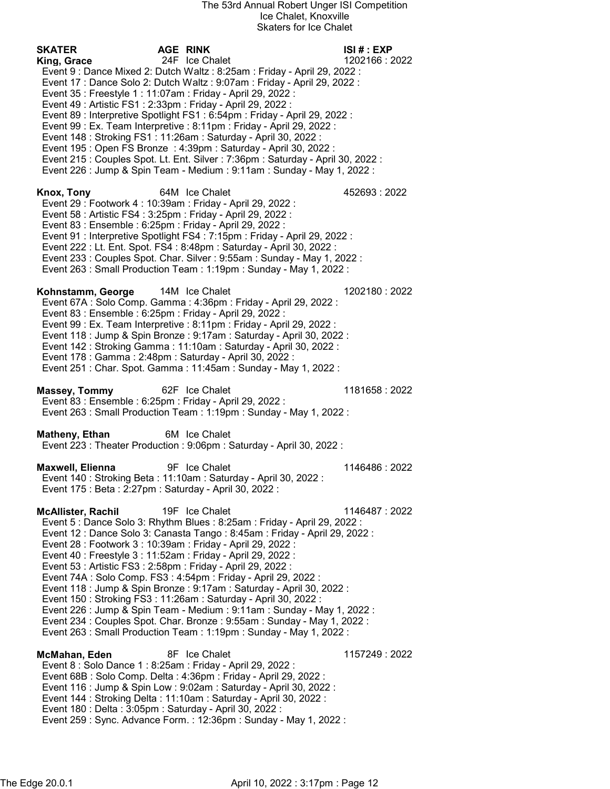SKATER AGE RINK ISI # : EXP **King, Grace** 24F Ice Chalet 1202166 : 2022 Event 9 : Dance Mixed 2: Dutch Waltz : 8:25am : Friday - April 29, 2022 : Event 17 : Dance Solo 2: Dutch Waltz : 9:07am : Friday - April 29, 2022 : Event 35 : Freestyle 1 : 11:07am : Friday - April 29, 2022 : Event 49 : Artistic FS1 : 2:33pm : Friday - April 29, 2022 : Event 89 : Interpretive Spotlight FS1 : 6:54pm : Friday - April 29, 2022 : Event 99 : Ex. Team Interpretive : 8:11pm : Friday - April 29, 2022 : Event 148 : Stroking FS1 : 11:26am : Saturday - April 30, 2022 : Event 195 : Open FS Bronze : 4:39pm : Saturday - April 30, 2022 : Event 215 : Couples Spot. Lt. Ent. Silver : 7:36pm : Saturday - April 30, 2022 : Event 226 : Jump & Spin Team - Medium : 9:11am : Sunday - May 1, 2022 : Knox, Tony 64M Ice Chalet **1998** 452693 : 2022 Event 29 : Footwork 4 : 10:39am : Friday - April 29, 2022 : Event 58 : Artistic FS4 : 3:25pm : Friday - April 29, 2022 : Event 83 : Ensemble : 6:25pm : Friday - April 29, 2022 : Event 91 : Interpretive Spotlight FS4 : 7:15pm : Friday - April 29, 2022 : Event 222 : Lt. Ent. Spot. FS4 : 8:48pm : Saturday - April 30, 2022 : Event 233 : Couples Spot. Char. Silver : 9:55am : Sunday - May 1, 2022 : Event 263 : Small Production Team : 1:19pm : Sunday - May 1, 2022 : Kohnstamm, George 14M Ice Chalet 1202180 : 2022 Event 67A : Solo Comp. Gamma : 4:36pm : Friday - April 29, 2022 : Event 83 : Ensemble : 6:25pm : Friday - April 29, 2022 : Event 99 : Ex. Team Interpretive : 8:11pm : Friday - April 29, 2022 : Event 118 : Jump & Spin Bronze : 9:17am : Saturday - April 30, 2022 : Event 142 : Stroking Gamma : 11:10am : Saturday - April 30, 2022 : Event 178 : Gamma : 2:48pm : Saturday - April 30, 2022 : Event 251 : Char. Spot. Gamma : 11:45am : Sunday - May 1, 2022 : Massey, Tommy 62F Ice Chalet 1181658 : 2022 Event 83 : Ensemble : 6:25pm : Friday - April 29, 2022 : Event 263 : Small Production Team : 1:19pm : Sunday - May 1, 2022 : Matheny, Ethan 6M Ice Chalet Event 223 : Theater Production : 9:06pm : Saturday - April 30, 2022 : **Maxwell, Elienna** 9F Ice Chalet 1146486 : 2022 Event 140 : Stroking Beta : 11:10am : Saturday - April 30, 2022 : Event 175 : Beta : 2:27pm : Saturday - April 30, 2022 : **McAllister, Rachil 19F Ice Chalet 1146487 : 2022**  Event 5 : Dance Solo 3: Rhythm Blues : 8:25am : Friday - April 29, 2022 : Event 12 : Dance Solo 3: Canasta Tango : 8:45am : Friday - April 29, 2022 : Event 28 : Footwork 3 : 10:39am : Friday - April 29, 2022 : Event 40 : Freestyle 3 : 11:52am : Friday - April 29, 2022 : Event 53 : Artistic FS3 : 2:58pm : Friday - April 29, 2022 : Event 74A : Solo Comp. FS3 : 4:54pm : Friday - April 29, 2022 : Event 118 : Jump & Spin Bronze : 9:17am : Saturday - April 30, 2022 : Event 150 : Stroking FS3 : 11:26am : Saturday - April 30, 2022 : Event 226 : Jump & Spin Team - Medium : 9:11am : Sunday - May 1, 2022 : Event 234 : Couples Spot. Char. Bronze : 9:55am : Sunday - May 1, 2022 : Event 263 : Small Production Team : 1:19pm : Sunday - May 1, 2022 : **McMahan, Eden** 8F Ice Chalet 1157249 : 2022 Event 8 : Solo Dance 1 : 8:25am : Friday - April 29, 2022 : Event 68B : Solo Comp. Delta : 4:36pm : Friday - April 29, 2022 : Event 116 : Jump & Spin Low : 9:02am : Saturday - April 30, 2022 : Event 144 : Stroking Delta : 11:10am : Saturday - April 30, 2022 : Event 180 : Delta : 3:05pm : Saturday - April 30, 2022 : Event 259 : Sync. Advance Form. : 12:36pm : Sunday - May 1, 2022 :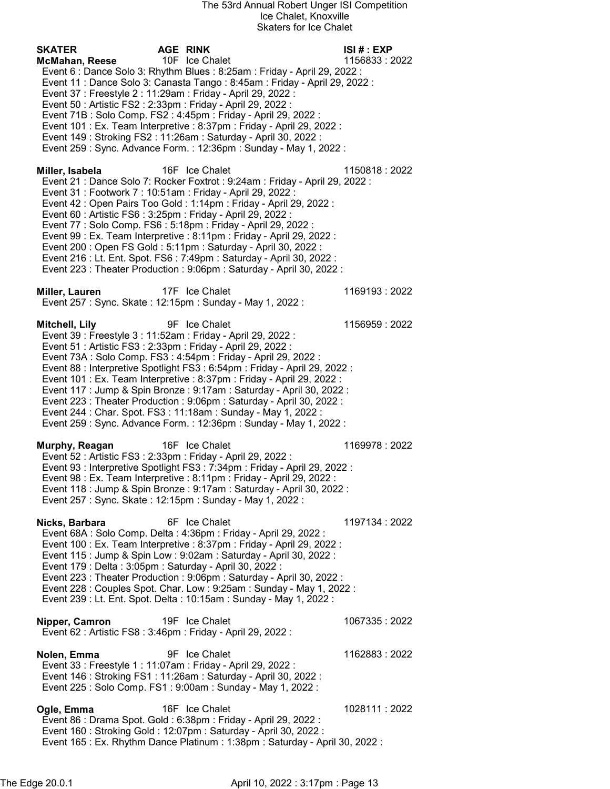| SKATER          |                | <b>AGE RINK</b>                                                                                                                                          | ISI#: EXP      |
|-----------------|----------------|----------------------------------------------------------------------------------------------------------------------------------------------------------|----------------|
|                 | McMahan, Reese | 10F Ice Chalet                                                                                                                                           | 1156833:2022   |
|                 |                | Event 6 : Dance Solo 3: Rhythm Blues : 8:25am : Friday - April 29, 2022 :<br>Event 11 : Dance Solo 3: Canasta Tango : 8:45am : Friday - April 29, 2022 : |                |
|                 |                | Event 37 : Freestyle 2 : 11:29am : Friday - April 29, 2022 :                                                                                             |                |
|                 |                | Event 50 : Artistic FS2 : 2:33pm : Friday - April 29, 2022 :                                                                                             |                |
|                 |                | Event 71B: Solo Comp. FS2: 4:45pm: Friday - April 29, 2022:                                                                                              |                |
|                 |                | Event 101 : Ex. Team Interpretive : 8:37pm : Friday - April 29, 2022 :                                                                                   |                |
|                 |                | Event 149 : Stroking FS2 : 11:26am : Saturday - April 30, 2022 :                                                                                         |                |
|                 |                | Event 259 : Sync. Advance Form. : 12:36pm : Sunday - May 1, 2022 :                                                                                       |                |
|                 |                |                                                                                                                                                          |                |
| Miller, Isabela |                | 16F Ice Chalet<br>Event 21 : Dance Solo 7: Rocker Foxtrot : 9:24am : Friday - April 29, 2022 :                                                           | 1150818:2022   |
|                 |                | Event 31 : Footwork 7 : 10:51am : Friday - April 29, 2022 :                                                                                              |                |
|                 |                | Event 42 : Open Pairs Too Gold : 1:14pm : Friday - April 29, 2022 :                                                                                      |                |
|                 |                | Event 60 : Artistic FS6 : 3:25pm : Friday - April 29, 2022 :                                                                                             |                |
|                 |                | Event 77 : Solo Comp. FS6 : 5:18pm : Friday - April 29, 2022 :                                                                                           |                |
|                 |                | Event 99 : Ex. Team Interpretive : 8:11pm : Friday - April 29, 2022 :                                                                                    |                |
|                 |                | Event 200 : Open FS Gold : 5:11pm : Saturday - April 30, 2022 :                                                                                          |                |
|                 |                | Event 216 : Lt. Ent. Spot. FS6 : 7:49pm : Saturday - April 30, 2022 :                                                                                    |                |
|                 |                | Event 223 : Theater Production : 9:06pm : Saturday - April 30, 2022 :                                                                                    |                |
| Miller, Lauren  |                | 17F Ice Chalet                                                                                                                                           | 1169193:2022   |
|                 |                | Event 257 : Sync. Skate : 12:15pm : Sunday - May 1, 2022 :                                                                                               |                |
|                 |                | 9F Ice Chalet                                                                                                                                            |                |
| Mitchell, Lily  |                | Event 39 : Freestyle 3 : 11:52am : Friday - April 29, 2022 :                                                                                             | 1156959:2022   |
|                 |                | Event 51 : Artistic FS3 : 2:33pm : Friday - April 29, 2022 :                                                                                             |                |
|                 |                | Event 73A : Solo Comp. FS3 : 4:54pm : Friday - April 29, 2022 :                                                                                          |                |
|                 |                | Event 88 : Interpretive Spotlight FS3 : 6:54pm : Friday - April 29, 2022 :                                                                               |                |
|                 |                | Event 101 : Ex. Team Interpretive : 8:37pm : Friday - April 29, 2022 :                                                                                   |                |
|                 |                | Event 117 : Jump & Spin Bronze : 9:17am : Saturday - April 30, 2022 :                                                                                    |                |
|                 |                | Event 223 : Theater Production : 9:06pm : Saturday - April 30, 2022 :<br>Event 244 : Char. Spot. FS3 : 11:18am : Sunday - May 1, 2022 :                  |                |
|                 |                | Event 259 : Sync. Advance Form. : 12:36pm : Sunday - May 1, 2022 :                                                                                       |                |
|                 |                |                                                                                                                                                          |                |
|                 | Murphy, Reagan | 16F Ice Chalet                                                                                                                                           | 1169978:2022   |
|                 |                | Event 52 : Artistic FS3 : 2:33pm : Friday - April 29, 2022 :<br>Event 93 : Interpretive Spotlight FS3 : 7:34pm : Friday - April 29, 2022 :               |                |
|                 |                | Event 98 : Ex. Team Interpretive : 8:11pm : Friday - April 29, 2022 :                                                                                    |                |
|                 |                | Event 118 : Jump & Spin Bronze : 9:17am : Saturday - April 30, 2022 :                                                                                    |                |
|                 |                | Event 257 : Sync. Skate : 12:15pm : Sunday - May 1, 2022 :                                                                                               |                |
|                 |                |                                                                                                                                                          |                |
|                 | Nicks, Barbara | 6F Ice Chalet                                                                                                                                            | 1197134: 2022  |
|                 |                | Event 68A : Solo Comp. Delta : 4:36pm : Friday - April 29, 2022 :<br>Event 100 : Ex. Team Interpretive : 8:37pm : Friday - April 29, 2022 :              |                |
|                 |                | Event 115 : Jump & Spin Low : 9:02am : Saturday - April 30, 2022 :                                                                                       |                |
|                 |                | Event 179 : Delta : 3:05pm : Saturday - April 30, 2022 :                                                                                                 |                |
|                 |                | Event 223 : Theater Production : 9:06pm : Saturday - April 30, 2022 :                                                                                    |                |
|                 |                | Event 228 : Couples Spot. Char. Low : 9:25am : Sunday - May 1, 2022 :                                                                                    |                |
|                 |                | Event 239 : Lt. Ent. Spot. Delta : 10:15am : Sunday - May 1, 2022 :                                                                                      |                |
|                 | Nipper, Camron | 19F Ice Chalet                                                                                                                                           | 1067335: 2022  |
|                 |                | Event 62 : Artistic FS8 : 3:46pm : Friday - April 29, 2022 :                                                                                             |                |
|                 |                |                                                                                                                                                          |                |
| Nolen, Emma     |                | 9F Ice Chalet                                                                                                                                            | 1162883:2022   |
|                 |                | Event 33 : Freestyle 1 : 11:07am : Friday - April 29, 2022 :                                                                                             |                |
|                 |                | Event 146 : Stroking FS1 : 11:26am : Saturday - April 30, 2022 :                                                                                         |                |
|                 |                | Event 225 : Solo Comp. FS1 : 9:00am : Sunday - May 1, 2022 :                                                                                             |                |
| Ogle, Emma      |                | 16F Ice Chalet                                                                                                                                           | 1028111 : 2022 |
|                 |                | Event 86 : Drama Spot. Gold : 6:38pm : Friday - April 29, 2022 :                                                                                         |                |
|                 |                | Event 160 : Stroking Gold : 12:07pm : Saturday - April 30, 2022 :                                                                                        |                |
|                 |                | Event 165 : Ex. Rhythm Dance Platinum : 1:38pm : Saturday - April 30, 2022 :                                                                             |                |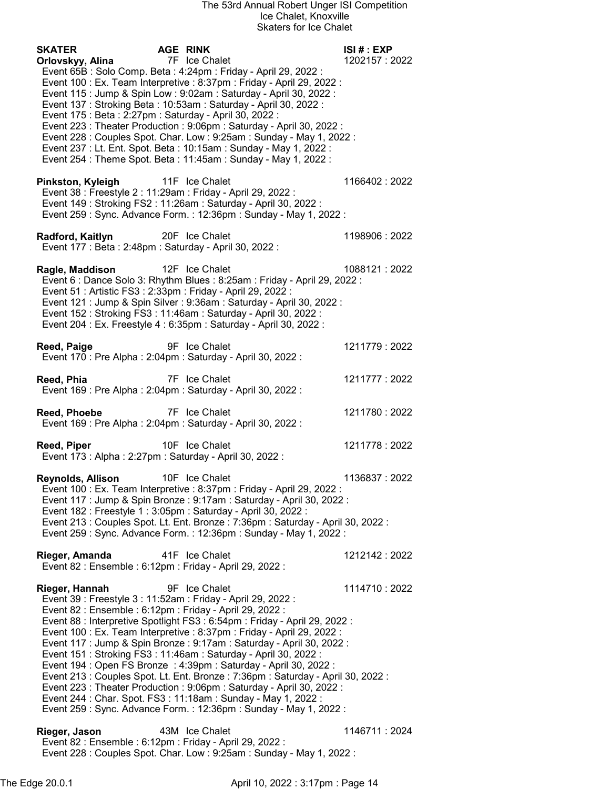| <b>SKATER</b>                                            | <b>AGE RINK</b> |                                                                                                                                                    | ISI# : EXP     |
|----------------------------------------------------------|-----------------|----------------------------------------------------------------------------------------------------------------------------------------------------|----------------|
| Orlovskyy, Alina                                         |                 | 7F Ice Chalet<br>Event 65B : Solo Comp. Beta : 4:24pm : Friday - April 29, 2022 :                                                                  | 1202157:2022   |
|                                                          |                 | Event 100 : Ex. Team Interpretive : 8:37pm : Friday - April 29, 2022 :                                                                             |                |
|                                                          |                 | Event 115 : Jump & Spin Low : 9:02am : Saturday - April 30, 2022 :<br>Event 137: Stroking Beta: 10:53am: Saturday - April 30, 2022:                |                |
| Event 175 : Beta : 2:27pm : Saturday - April 30, 2022 :  |                 |                                                                                                                                                    |                |
|                                                          |                 | Event 223 : Theater Production : 9:06pm : Saturday - April 30, 2022 :                                                                              |                |
|                                                          |                 | Event 228 : Couples Spot. Char. Low : 9:25am : Sunday - May 1, 2022 :                                                                              |                |
|                                                          |                 | Event 237 : Lt. Ent. Spot. Beta : 10:15am : Sunday - May 1, 2022 :                                                                                 |                |
|                                                          |                 | Event 254 : Theme Spot. Beta : 11:45am : Sunday - May 1, 2022 :                                                                                    |                |
| Pinkston, Kyleigh                                        |                 | 11F Ice Chalet<br>Event 38 : Freestyle 2 : 11:29am : Friday - April 29, 2022 :<br>Event 149 : Stroking FS2 : 11:26am : Saturday - April 30, 2022 : | 1166402:2022   |
|                                                          |                 | Event 259 : Sync. Advance Form. : 12:36pm : Sunday - May 1, 2022 :                                                                                 |                |
|                                                          |                 |                                                                                                                                                    |                |
| Radford, Kaitlyn                                         |                 | 20F Ice Chalet                                                                                                                                     | 1198906: 2022  |
| Event 177 : Beta : 2:48pm : Saturday - April 30, 2022 :  |                 |                                                                                                                                                    |                |
| Ragle, Maddison                                          |                 | 12F Ice Chalet                                                                                                                                     | 1088121:2022   |
|                                                          |                 | Event 6 : Dance Solo 3: Rhythm Blues : 8:25am : Friday - April 29, 2022 :                                                                          |                |
|                                                          |                 | Event 51 : Artistic FS3 : 2:33pm : Friday - April 29, 2022 :                                                                                       |                |
|                                                          |                 | Event 121 : Jump & Spin Silver : 9:36am : Saturday - April 30, 2022 :<br>Event 152: Stroking FS3: 11:46am: Saturday - April 30, 2022:              |                |
|                                                          |                 | Event 204 : Ex. Freestyle 4 : 6:35pm : Saturday - April 30, 2022 :                                                                                 |                |
|                                                          |                 |                                                                                                                                                    |                |
| Reed, Paige                                              |                 | 9F Ice Chalet                                                                                                                                      | 1211779:2022   |
|                                                          |                 | Event 170 : Pre Alpha : 2:04pm : Saturday - April 30, 2022 :                                                                                       |                |
| Reed, Phia                                               |                 | 7F Ice Chalet<br>Event 169 : Pre Alpha : 2:04pm : Saturday - April 30, 2022 :                                                                      | 1211777 : 2022 |
| Reed, Phoebe                                             |                 | 7F Ice Chalet                                                                                                                                      | 1211780: 2022  |
|                                                          |                 | Event 169 : Pre Alpha : 2:04pm : Saturday - April 30, 2022 :                                                                                       |                |
|                                                          |                 |                                                                                                                                                    |                |
| Reed, Piper                                              |                 | 10F Ice Chalet                                                                                                                                     | 1211778:2022   |
| Event 173 : Alpha : 2:27pm : Saturday - April 30, 2022 : |                 |                                                                                                                                                    |                |
| <b>Reynolds, Allison</b>                                 |                 | 10F Ice Chalet                                                                                                                                     | 1136837: 2022  |
|                                                          |                 | Event 100 : Ex. Team Interpretive : 8:37pm : Friday - April 29, 2022 :                                                                             |                |
|                                                          |                 | Event 117 : Jump & Spin Bronze : 9:17am : Saturday - April 30, 2022 :                                                                              |                |
|                                                          |                 | Event 182 : Freestyle 1 : 3:05pm : Saturday - April 30, 2022 :<br>Event 213 : Couples Spot. Lt. Ent. Bronze : 7:36pm : Saturday - April 30, 2022 : |                |
|                                                          |                 | Event 259 : Sync. Advance Form. : 12:36pm : Sunday - May 1, 2022 :                                                                                 |                |
|                                                          |                 |                                                                                                                                                    |                |
| Rieger, Amanda                                           |                 | 41F Ice Chalet                                                                                                                                     | 1212142: 2022  |
| Event 82 : Ensemble : 6:12pm : Friday - April 29, 2022 : |                 |                                                                                                                                                    |                |
| Rieger, Hannah                                           |                 | 9F Ice Chalet                                                                                                                                      | 1114710:2022   |
|                                                          |                 | Event 39 : Freestyle 3 : 11:52am : Friday - April 29, 2022 :                                                                                       |                |
| Event 82 : Ensemble : 6:12pm : Friday - April 29, 2022 : |                 |                                                                                                                                                    |                |
|                                                          |                 | Event 88 : Interpretive Spotlight FS3 : 6:54pm : Friday - April 29, 2022 :                                                                         |                |
|                                                          |                 | Event 100 : Ex. Team Interpretive : 8:37pm : Friday - April 29, 2022 :<br>Event 117 : Jump & Spin Bronze : 9:17am : Saturday - April 30, 2022 :    |                |
|                                                          |                 | Event 151: Stroking FS3: 11:46am: Saturday - April 30, 2022:                                                                                       |                |
|                                                          |                 | Event 194 : Open FS Bronze : 4:39pm : Saturday - April 30, 2022 :                                                                                  |                |
|                                                          |                 | Event 213 : Couples Spot. Lt. Ent. Bronze : 7:36pm : Saturday - April 30, 2022 :                                                                   |                |
|                                                          |                 | Event 223 : Theater Production : 9:06pm : Saturday - April 30, 2022 :<br>Event 244 : Char. Spot. FS3 : 11:18am : Sunday - May 1, 2022 :            |                |
|                                                          |                 | Event 259 : Sync. Advance Form. : 12:36pm : Sunday - May 1, 2022 :                                                                                 |                |
|                                                          |                 |                                                                                                                                                    |                |
| Rieger, Jason                                            |                 | 43M Ice Chalet                                                                                                                                     | 1146711 : 2024 |
| Event 82 : Ensemble : 6:12pm : Friday - April 29, 2022 : |                 |                                                                                                                                                    |                |

The Edge 20.0.1 **April 10, 2022 : 3:17pm : Page 14** 

Event 228 : Couples Spot. Char. Low : 9:25am : Sunday - May 1, 2022 :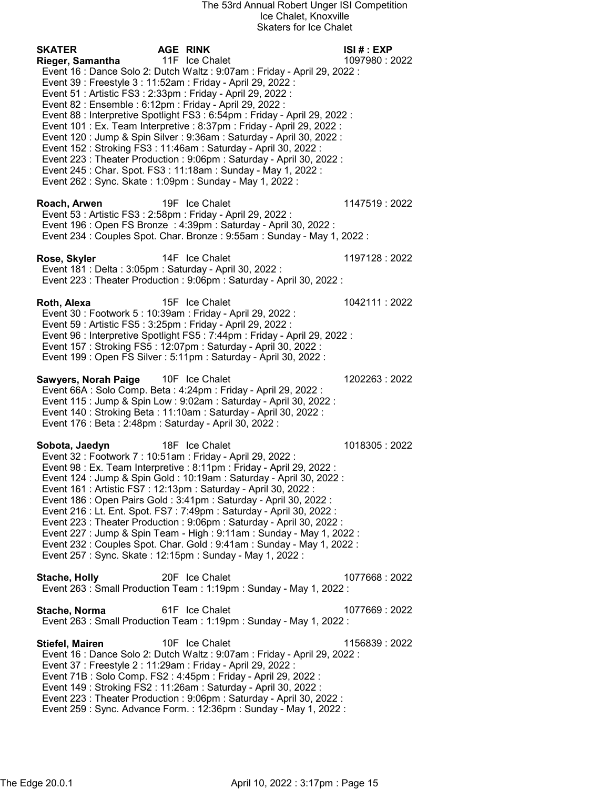SKATER AGE RINK ISI # : EXP Rieger, Samantha 11F Ice Chalet 1097980 : 2022 Event 16 : Dance Solo 2: Dutch Waltz : 9:07am : Friday - April 29, 2022 : Event 39 : Freestyle 3 : 11:52am : Friday - April 29, 2022 : Event 51 : Artistic FS3 : 2:33pm : Friday - April 29, 2022 : Event 82 : Ensemble : 6:12pm : Friday - April 29, 2022 : Event 88 : Interpretive Spotlight FS3 : 6:54pm : Friday - April 29, 2022 : Event 101 : Ex. Team Interpretive : 8:37pm : Friday - April 29, 2022 : Event 120 : Jump & Spin Silver : 9:36am : Saturday - April 30, 2022 : Event 152 : Stroking FS3 : 11:46am : Saturday - April 30, 2022 : Event 223 : Theater Production : 9:06pm : Saturday - April 30, 2022 : Event 245 : Char. Spot. FS3 : 11:18am : Sunday - May 1, 2022 : Event 262 : Sync. Skate : 1:09pm : Sunday - May 1, 2022 : Roach, Arwen 19F Ice Chalet 1147519 : 2022 Event 53 : Artistic FS3 : 2:58pm : Friday - April 29, 2022 : Event 196 : Open FS Bronze : 4:39pm : Saturday - April 30, 2022 : Event 234 : Couples Spot. Char. Bronze : 9:55am : Sunday - May 1, 2022 : Rose, Skyler **14F** Ice Chalet 1197128 : 2022 Event 181 : Delta : 3:05pm : Saturday - April 30, 2022 : Event 223 : Theater Production : 9:06pm : Saturday - April 30, 2022 : **Roth, Alexa** 15F Ice Chalet 1042111 : 2022 Event 30 : Footwork 5 : 10:39am : Friday - April 29, 2022 : Event 59 : Artistic FS5 : 3:25pm : Friday - April 29, 2022 : Event 96 : Interpretive Spotlight FS5 : 7:44pm : Friday - April 29, 2022 : Event 157 : Stroking FS5 : 12:07pm : Saturday - April 30, 2022 : Event 199 : Open FS Silver : 5:11pm : Saturday - April 30, 2022 : Sawyers, Norah Paige 10F Ice Chalet 1202263 : 2022 Event 66A : Solo Comp. Beta : 4:24pm : Friday - April 29, 2022 : Event 115 : Jump & Spin Low : 9:02am : Saturday - April 30, 2022 : Event 140 : Stroking Beta : 11:10am : Saturday - April 30, 2022 : Event 176 : Beta : 2:48pm : Saturday - April 30, 2022 : Sobota, Jaedyn 18F Ice Chalet 1018305 : 2022 Event 32 : Footwork 7 : 10:51am : Friday - April 29, 2022 : Event 98 : Ex. Team Interpretive : 8:11pm : Friday - April 29, 2022 : Event 124 : Jump & Spin Gold : 10:19am : Saturday - April 30, 2022 : Event 161 : Artistic FS7 : 12:13pm : Saturday - April 30, 2022 : Event 186 : Open Pairs Gold : 3:41pm : Saturday - April 30, 2022 : Event 216 : Lt. Ent. Spot. FS7 : 7:49pm : Saturday - April 30, 2022 : Event 223 : Theater Production : 9:06pm : Saturday - April 30, 2022 : Event 227 : Jump & Spin Team - High : 9:11am : Sunday - May 1, 2022 : Event 232 : Couples Spot. Char. Gold : 9:41am : Sunday - May 1, 2022 : Event 257 : Sync. Skate : 12:15pm : Sunday - May 1, 2022 : Stache, Holly 20F Ice Chalet 1077668 : 2022 Event 263 : Small Production Team : 1:19pm : Sunday - May 1, 2022 : Stache, Norma 61F Ice Chalet 1077669 : 2022 Event 263 : Small Production Team : 1:19pm : Sunday - May 1, 2022 : Stiefel, Mairen 10F Ice Chalet 1156839 : 2022 Event 16 : Dance Solo 2: Dutch Waltz : 9:07am : Friday - April 29, 2022 : Event 37 : Freestyle 2 : 11:29am : Friday - April 29, 2022 : Event 71B : Solo Comp. FS2 : 4:45pm : Friday - April 29, 2022 : Event 149 : Stroking FS2 : 11:26am : Saturday - April 30, 2022 : Event 223 : Theater Production : 9:06pm : Saturday - April 30, 2022 : Event 259 : Sync. Advance Form. : 12:36pm : Sunday - May 1, 2022 :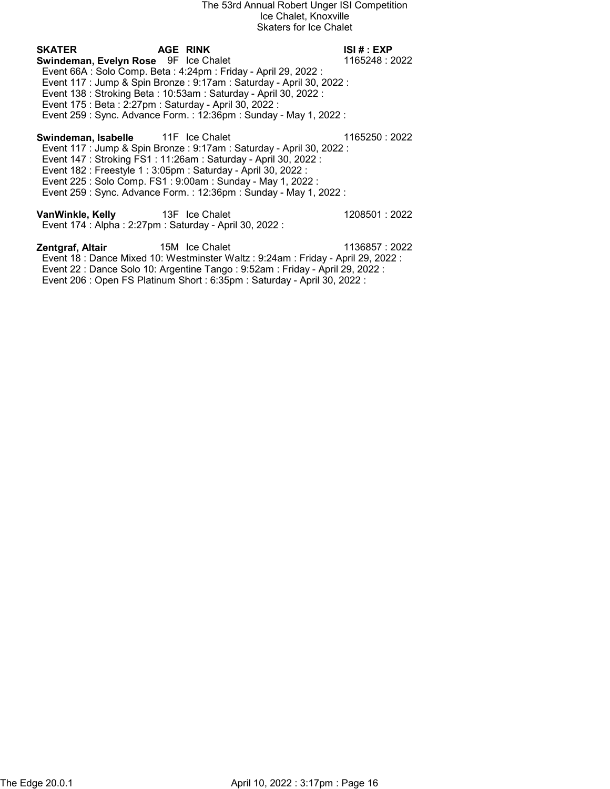## SKATER AGE RINK ISI # : EXP Swindeman, Evelyn Rose 9F Ice Chalet 1165248 : 2022 Event 66A : Solo Comp. Beta : 4:24pm : Friday - April 29, 2022 : Event 117 : Jump & Spin Bronze : 9:17am : Saturday - April 30, 2022 : Event 138 : Stroking Beta : 10:53am : Saturday - April 30, 2022 : Event 175 : Beta : 2:27pm : Saturday - April 30, 2022 : Event 259 : Sync. Advance Form. : 12:36pm : Sunday - May 1, 2022 : Swindeman, Isabelle 11F Ice Chalet 11 1165250 : 2022 Event 117 : Jump & Spin Bronze : 9:17am : Saturday - April 30, 2022 : Event 147 : Stroking FS1 : 11:26am : Saturday - April 30, 2022 : Event 182 : Freestyle 1 : 3:05pm : Saturday - April 30, 2022 : Event 225 : Solo Comp. FS1 : 9:00am : Sunday - May 1, 2022 : Event 259 : Sync. Advance Form. : 12:36pm : Sunday - May 1, 2022 : VanWinkle, Kelly 13F Ice Chalet 1208501 : 2022 Event 174 : Alpha : 2:27pm : Saturday - April 30, 2022 :

**Zentgraf, Altair** 15M Ice Chalet 1136857 : 2022 Event 18 : Dance Mixed 10: Westminster Waltz : 9:24am : Friday - April 29, 2022 : Event 22 : Dance Solo 10: Argentine Tango : 9:52am : Friday - April 29, 2022 : Event 206 : Open FS Platinum Short : 6:35pm : Saturday - April 30, 2022 :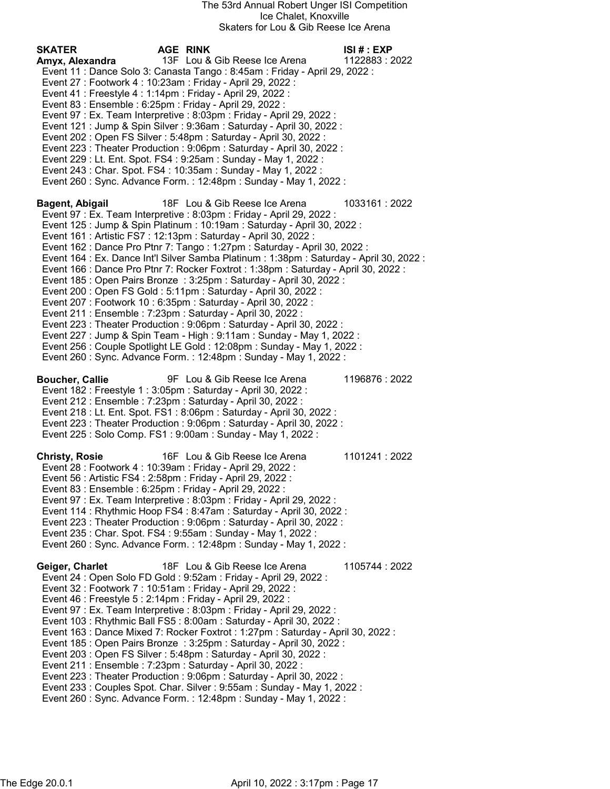| <b>SKATER</b><br>Amyx, Alexandra | AGE RINK<br>13F Lou & Gib Reese Ice Arena<br>Event 11 : Dance Solo 3: Canasta Tango : 8:45am : Friday - April 29, 2022 :<br>Event 27 : Footwork 4 : 10:23am : Friday - April 29, 2022 :<br>Event 41 : Freestyle 4 : 1:14pm : Friday - April 29, 2022 :<br>Event 83 : Ensemble : 6:25pm : Friday - April 29, 2022 :<br>Event 97 : Ex. Team Interpretive : 8:03pm : Friday - April 29, 2022 :<br>Event 121 : Jump & Spin Silver : 9:36am : Saturday - April 30, 2022 :<br>Event 202: Open FS Silver: 5:48pm: Saturday - April 30, 2022:<br>Event 223 : Theater Production : 9:06pm : Saturday - April 30, 2022 :<br>Event 229 : Lt. Ent. Spot. FS4 : 9:25am : Sunday - May 1, 2022 :<br>Event 243 : Char. Spot. FS4 : 10:35am : Sunday - May 1, 2022 :<br>Event 260 : Sync. Advance Form. : 12:48pm : Sunday - May 1, 2022 :                                                                                                                                                                                                                                                                             | ISI # : EXP<br>1122883:2022 |
|----------------------------------|--------------------------------------------------------------------------------------------------------------------------------------------------------------------------------------------------------------------------------------------------------------------------------------------------------------------------------------------------------------------------------------------------------------------------------------------------------------------------------------------------------------------------------------------------------------------------------------------------------------------------------------------------------------------------------------------------------------------------------------------------------------------------------------------------------------------------------------------------------------------------------------------------------------------------------------------------------------------------------------------------------------------------------------------------------------------------------------------------------|-----------------------------|
| Bagent, Abigail                  | 18F Lou & Gib Reese Ice Arena<br>Event 97 : Ex. Team Interpretive : 8:03pm : Friday - April 29, 2022 :<br>Event 125 : Jump & Spin Platinum : 10:19am : Saturday - April 30, 2022 :<br>Event 161 : Artistic FS7 : 12:13pm : Saturday - April 30, 2022 :<br>Event 162 : Dance Pro Ptnr 7: Tango : 1:27pm : Saturday - April 30, 2022 :<br>Event 164 : Ex. Dance Int'l Silver Samba Platinum : 1:38pm : Saturday - April 30, 2022 :<br>Event 166 : Dance Pro Ptnr 7: Rocker Foxtrot : 1:38pm : Saturday - April 30, 2022 :<br>Event 185 : Open Pairs Bronze : 3:25pm : Saturday - April 30, 2022 :<br>Event 200 : Open FS Gold : 5:11pm : Saturday - April 30, 2022 :<br>Event 207 : Footwork 10 : 6:35pm : Saturday - April 30, 2022 :<br>Event 211 : Ensemble : 7:23pm : Saturday - April 30, 2022 :<br>Event 223 : Theater Production : 9:06pm : Saturday - April 30, 2022 :<br>Event 227 : Jump & Spin Team - High : 9:11am : Sunday - May 1, 2022 :<br>Event 256 : Couple Spotlight LE Gold : 12:08pm : Sunday - May 1, 2022 :<br>Event 260 : Sync. Advance Form. : 12:48pm : Sunday - May 1, 2022 : | 1033161:2022                |
| <b>Boucher, Callie</b>           | 9F Lou & Gib Reese Ice Arena<br>Event 182 : Freestyle 1 : 3:05pm : Saturday - April 30, 2022 :<br>Event 212 : Ensemble : 7:23pm : Saturday - April 30, 2022 :<br>Event 218 : Lt. Ent. Spot. FS1 : 8:06pm : Saturday - April 30, 2022 :<br>Event 223 : Theater Production : 9:06pm : Saturday - April 30, 2022 :<br>Event 225 : Solo Comp. FS1 : 9:00am : Sunday - May 1, 2022 :                                                                                                                                                                                                                                                                                                                                                                                                                                                                                                                                                                                                                                                                                                                        | 1196876 : 2022              |
| <b>Christy, Rosie</b>            | 16F Lou & Gib Reese Ice Arena<br>Event 28 : Footwork 4 : 10:39am : Friday - April 29, 2022 :<br>Event 56 : Artistic FS4 : 2:58pm : Friday - April 29, 2022 :<br>Event 83 : Ensemble : 6:25pm : Friday - April 29, 2022 :<br>Event 97 : Ex. Team Interpretive : 8:03pm : Friday - April 29, 2022 :<br>Event 114: Rhythmic Hoop FS4: 8:47am: Saturday - April 30, 2022:<br>Event 223 : Theater Production : 9:06pm : Saturday - April 30, 2022 :<br>Event 235 : Char. Spot. FS4 : 9:55am : Sunday - May 1, 2022 :<br>Event 260 : Sync. Advance Form. : 12:48pm : Sunday - May 1, 2022 :                                                                                                                                                                                                                                                                                                                                                                                                                                                                                                                  | 1101241:2022                |
| Geiger, Charlet                  | 18F Lou & Gib Reese Ice Arena<br>Event 24 : Open Solo FD Gold : 9:52am : Friday - April 29, 2022 :<br>Event 32 : Footwork 7 : 10:51am : Friday - April 29, 2022 :<br>Event 46 : Freestyle 5 : 2:14pm : Friday - April 29, 2022 :<br>Event 97 : Ex. Team Interpretive : 8:03pm : Friday - April 29, 2022 :<br>Event 103 : Rhythmic Ball FS5 : 8:00am : Saturday - April 30, 2022 :<br>Event 163 : Dance Mixed 7: Rocker Foxtrot : 1:27pm : Saturday - April 30, 2022 :<br>Event 185 : Open Pairs Bronze : 3:25pm : Saturday - April 30, 2022 :<br>Event 203 : Open FS Silver : 5:48pm : Saturday - April 30, 2022 :<br>Event 211 : Ensemble : 7:23pm : Saturday - April 30, 2022 :<br>Event 223 : Theater Production : 9:06pm : Saturday - April 30, 2022 :<br>Event 233 : Couples Spot. Char. Silver : 9:55am : Sunday - May 1, 2022 :<br>Event 260 : Sync. Advance Form. : 12:48pm : Sunday - May 1, 2022 :                                                                                                                                                                                           | 1105744 : 2022              |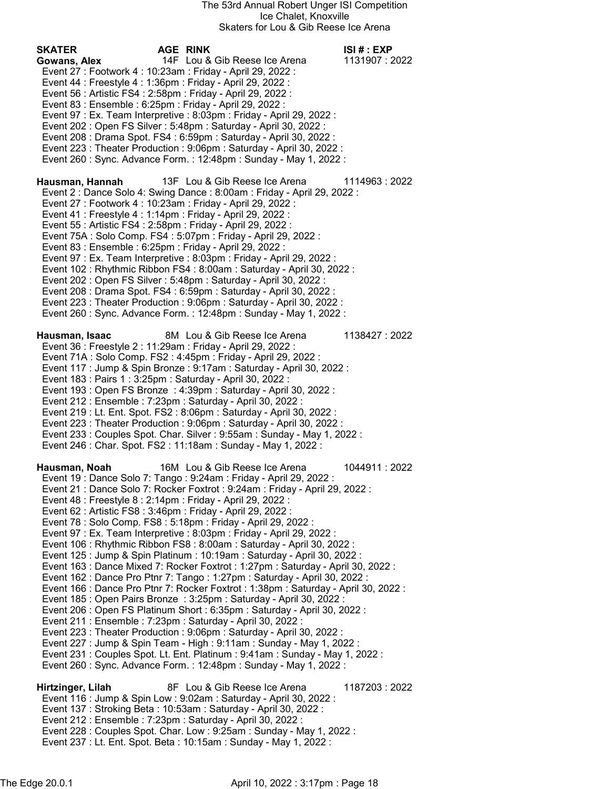SKATER AGE RINK ISI # : EXP Gowans, Alex 14F Lou & Gib Reese Ice Arena 1131907 : 2022 Event 27 : Footwork 4 : 10:23am : Friday - April 29, 2022 : Event 44 : Freestyle 4 : 1:36pm : Friday - April 29, 2022 : Event 56 : Artistic FS4 : 2:58pm : Friday - April 29, 2022 : Event 83 : Ensemble : 6:25pm : Friday - April 29, 2022 : Event 97 : Ex. Team Interpretive : 8:03pm : Friday - April 29, 2022 : Event 202 : Open FS Silver : 5:48pm : Saturday - April 30, 2022 : Event 208 : Drama Spot. FS4 : 6:59pm : Saturday - April 30, 2022 : Event 223 : Theater Production : 9:06pm : Saturday - April 30, 2022 : Event 260 : Sync. Advance Form. : 12:48pm : Sunday - May 1, 2022 : Hausman, Hannah 13F Lou & Gib Reese Ice Arena 1114963 : 2022 Event 2 : Dance Solo 4: Swing Dance : 8:00am : Friday - April 29, 2022 : Event 27 : Footwork 4 : 10:23am : Friday - April 29, 2022 : Event 41 : Freestyle 4 : 1:14pm : Friday - April 29, 2022 : Event 55 : Artistic FS4 : 2:58pm : Friday - April 29, 2022 : Event 75A : Solo Comp. FS4 : 5:07pm : Friday - April 29, 2022 : Event 83 : Ensemble : 6:25pm : Friday - April 29, 2022 : Event 97 : Ex. Team Interpretive : 8:03pm : Friday - April 29, 2022 : Event 102 : Rhythmic Ribbon FS4 : 8:00am : Saturday - April 30, 2022 : Event 202 : Open FS Silver : 5:48pm : Saturday - April 30, 2022 : Event 208 : Drama Spot. FS4 : 6:59pm : Saturday - April 30, 2022 : Event 223 : Theater Production : 9:06pm : Saturday - April 30, 2022 : Event 260 : Sync. Advance Form. : 12:48pm : Sunday - May 1, 2022 : Hausman, Isaac 8M Lou & Gib Reese Ice Arena 1138427 : 2022 Event 36 : Freestyle 2 : 11:29am : Friday - April 29, 2022 : Event 71A : Solo Comp. FS2 : 4:45pm : Friday - April 29, 2022 : Event 117 : Jump & Spin Bronze : 9:17am : Saturday - April 30, 2022 : Event 183 : Pairs 1 : 3:25pm : Saturday - April 30, 2022 : Event 193 : Open FS Bronze : 4:39pm : Saturday - April 30, 2022 : Event 212 : Ensemble : 7:23pm : Saturday - April 30, 2022 : Event 219 : Lt. Ent. Spot. FS2 : 8:06pm : Saturday - April 30, 2022 : Event 223 : Theater Production : 9:06pm : Saturday - April 30, 2022 : Event 233 : Couples Spot. Char. Silver : 9:55am : Sunday - May 1, 2022 : Event 246 : Char. Spot. FS2 : 11:18am : Sunday - May 1, 2022 : Hausman, Noah 16M Lou & Gib Reese Ice Arena 1044911 : 2022 Event 19 : Dance Solo 7: Tango : 9:24am : Friday - April 29, 2022 : Event 21 : Dance Solo 7: Rocker Foxtrot : 9:24am : Friday - April 29, 2022 : Event 48 : Freestyle 8 : 2:14pm : Friday - April 29, 2022 : Event 62 : Artistic FS8 : 3:46pm : Friday - April 29, 2022 : Event 78 : Solo Comp. FS8 : 5:18pm : Friday - April 29, 2022 : Event 97 : Ex. Team Interpretive : 8:03pm : Friday - April 29, 2022 : Event 106 : Rhythmic Ribbon FS8 : 8:00am : Saturday - April 30, 2022 : Event 125 : Jump & Spin Platinum : 10:19am : Saturday - April 30, 2022 : Event 163 : Dance Mixed 7: Rocker Foxtrot : 1:27pm : Saturday - April 30, 2022 : Event 162 : Dance Pro Ptnr 7: Tango : 1:27pm : Saturday - April 30, 2022 : Event 166 : Dance Pro Ptnr 7: Rocker Foxtrot : 1:38pm : Saturday - April 30, 2022 : Event 185 : Open Pairs Bronze : 3:25pm : Saturday - April 30, 2022 : Event 206 : Open FS Platinum Short : 6:35pm : Saturday - April 30, 2022 : Event 211 : Ensemble : 7:23pm : Saturday - April 30, 2022 : Event 223 : Theater Production : 9:06pm : Saturday - April 30, 2022 : Event 227 : Jump & Spin Team - High : 9:11am : Sunday - May 1, 2022 : Event 231 : Couples Spot. Lt. Ent. Platinum : 9:41am : Sunday - May 1, 2022 : Event 260 : Sync. Advance Form. : 12:48pm : Sunday - May 1, 2022 : Hirtzinger, Lilah 8F Lou & Gib Reese Ice Arena 1187203 : 2022 Event 116 : Jump & Spin Low : 9:02am : Saturday - April 30, 2022 : Event 137 : Stroking Beta : 10:53am : Saturday - April 30, 2022 : Event 212 : Ensemble : 7:23pm : Saturday - April 30, 2022 : Event 228 : Couples Spot. Char. Low : 9:25am : Sunday - May 1, 2022 : Event 237 : Lt. Ent. Spot. Beta : 10:15am : Sunday - May 1, 2022 :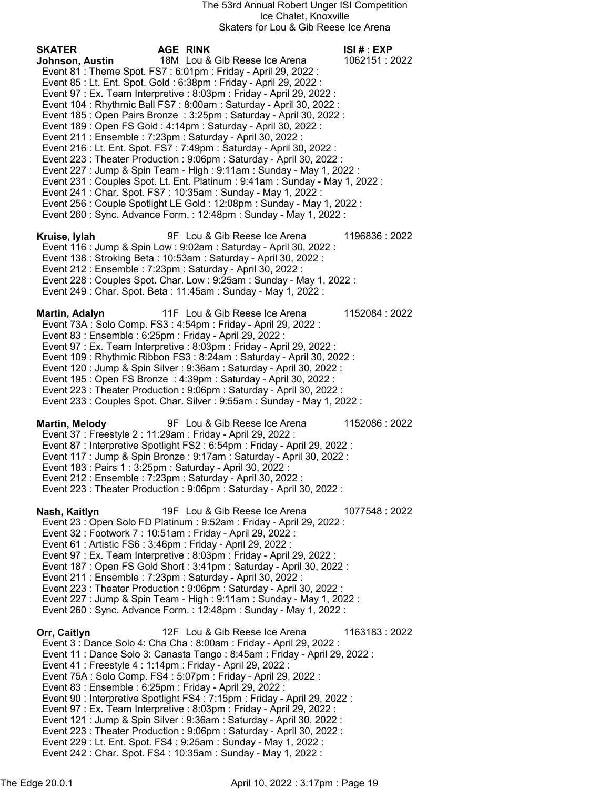SKATER AGE RINK ISI # : EXP Johnson, Austin 18M Lou & Gib Reese Ice Arena 1062151 : 2022 Event 81 : Theme Spot. FS7 : 6:01pm : Friday - April 29, 2022 : Event 85 : Lt. Ent. Spot. Gold : 6:38pm : Friday - April 29, 2022 : Event 97 : Ex. Team Interpretive : 8:03pm : Friday - April 29, 2022 : Event 104 : Rhythmic Ball FS7 : 8:00am : Saturday - April 30, 2022 : Event 185 : Open Pairs Bronze : 3:25pm : Saturday - April 30, 2022 : Event 189 : Open FS Gold : 4:14pm : Saturday - April 30, 2022 : Event 211 : Ensemble : 7:23pm : Saturday - April 30, 2022 : Event 216 : Lt. Ent. Spot. FS7 : 7:49pm : Saturday - April 30, 2022 : Event 223 : Theater Production : 9:06pm : Saturday - April 30, 2022 : Event 227 : Jump & Spin Team - High : 9:11am : Sunday - May 1, 2022 : Event 231 : Couples Spot. Lt. Ent. Platinum : 9:41am : Sunday - May 1, 2022 : Event 241 : Char. Spot. FS7 : 10:35am : Sunday - May 1, 2022 : Event 256 : Couple Spotlight LE Gold : 12:08pm : Sunday - May 1, 2022 : Event 260 : Sync. Advance Form. : 12:48pm : Sunday - May 1, 2022 : Kruise, Iylah 9F Lou & Gib Reese Ice Arena 1196836 : 2022 Event 116 : Jump & Spin Low : 9:02am : Saturday - April 30, 2022 : Event 138 : Stroking Beta : 10:53am : Saturday - April 30, 2022 : Event 212 : Ensemble : 7:23pm : Saturday - April 30, 2022 : Event 228 : Couples Spot. Char. Low : 9:25am : Sunday - May 1, 2022 : Event 249 : Char. Spot. Beta : 11:45am : Sunday - May 1, 2022 : Martin, Adalyn 11F Lou & Gib Reese Ice Arena 1152084 : 2022 Event 73A : Solo Comp. FS3 : 4:54pm : Friday - April 29, 2022 : Event 83 : Ensemble : 6:25pm : Friday - April 29, 2022 : Event 97 : Ex. Team Interpretive : 8:03pm : Friday - April 29, 2022 : Event 109 : Rhythmic Ribbon FS3 : 8:24am : Saturday - April 30, 2022 : Event 120 : Jump & Spin Silver : 9:36am : Saturday - April 30, 2022 : Event 195 : Open FS Bronze : 4:39pm : Saturday - April 30, 2022 : Event 223 : Theater Production : 9:06pm : Saturday - April 30, 2022 : Event 233 : Couples Spot. Char. Silver : 9:55am : Sunday - May 1, 2022 : Martin, Melody 9F Lou & Gib Reese Ice Arena 1152086 : 2022 Event 37 : Freestyle 2 : 11:29am : Friday - April 29, 2022 : Event 87 : Interpretive Spotlight FS2 : 6:54pm : Friday - April 29, 2022 : Event 117 : Jump & Spin Bronze : 9:17am : Saturday - April 30, 2022 : Event 183 : Pairs 1 : 3:25pm : Saturday - April 30, 2022 : Event 212 : Ensemble : 7:23pm : Saturday - April 30, 2022 : Event 223 : Theater Production : 9:06pm : Saturday - April 30, 2022 : Nash, Kaitlyn 19F Lou & Gib Reese Ice Arena 1077548 : 2022 Event 23 : Open Solo FD Platinum : 9:52am : Friday - April 29, 2022 : Event 32 : Footwork 7 : 10:51am : Friday - April 29, 2022 : Event 61 : Artistic FS6 : 3:46pm : Friday - April 29, 2022 : Event 97 : Ex. Team Interpretive : 8:03pm : Friday - April 29, 2022 : Event 187 : Open FS Gold Short : 3:41pm : Saturday - April 30, 2022 : Event 211 : Ensemble : 7:23pm : Saturday - April 30, 2022 : Event 223 : Theater Production : 9:06pm : Saturday - April 30, 2022 : Event 227 : Jump & Spin Team - High : 9:11am : Sunday - May 1, 2022 : Event 260 : Sync. Advance Form. : 12:48pm : Sunday - May 1, 2022 : Orr, Caitlyn 12F Lou & Gib Reese Ice Arena 1163183 : 2022 Event 3 : Dance Solo 4: Cha Cha : 8:00am : Friday - April 29, 2022 : Event 11 : Dance Solo 3: Canasta Tango : 8:45am : Friday - April 29, 2022 : Event 41 : Freestyle 4 : 1:14pm : Friday - April 29, 2022 : Event 75A : Solo Comp. FS4 : 5:07pm : Friday - April 29, 2022 : Event 83 : Ensemble : 6:25pm : Friday - April 29, 2022 : Event 90 : Interpretive Spotlight FS4 : 7:15pm : Friday - April 29, 2022 : Event 97 : Ex. Team Interpretive : 8:03pm : Friday - April 29, 2022 : Event 121 : Jump & Spin Silver : 9:36am : Saturday - April 30, 2022 : Event 223 : Theater Production : 9:06pm : Saturday - April 30, 2022 : Event 229 : Lt. Ent. Spot. FS4 : 9:25am : Sunday - May 1, 2022 : Event 242 : Char. Spot. FS4 : 10:35am : Sunday - May 1, 2022 :